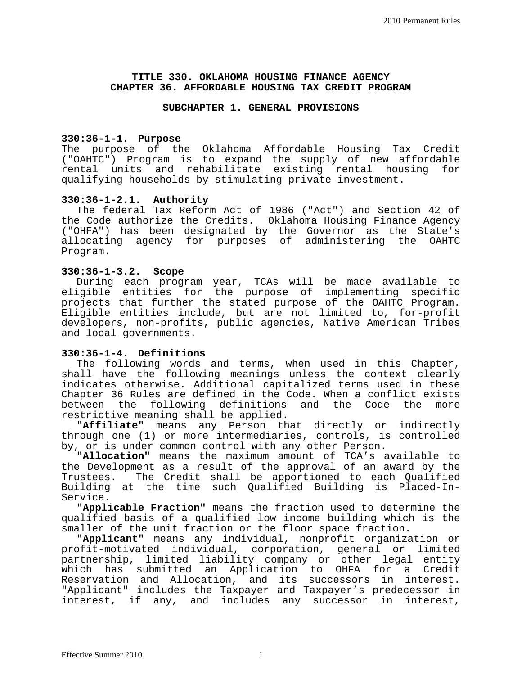#### **TITLE 330. OKLAHOMA HOUSING FINANCE AGENCY CHAPTER 36. AFFORDABLE HOUSING TAX CREDIT PROGRAM**

#### **SUBCHAPTER 1. GENERAL PROVISIONS**

#### **330:36-1-1. Purpose**

The purpose of the Oklahoma Affordable Housing Tax Credit ("OAHTC") Program is to expand the supply of new affordable rental units and rehabilitate existing rental housing for qualifying households by stimulating private investment.

#### **330:36-1-2.1. Authority**

The federal Tax Reform Act of 1986 ("Act") and Section 42 of the Code authorize the Credits. Oklahoma Housing Finance Agency ("OHFA") has been designated by the Governor as the State's<br>allocating agency for purposes of administering the OAHTC allocating agency for purposes of Program.

#### **330:36-1-3.2. Scope**

During each program year, TCAs will be made available to eligible entities for the purpose of implementing specific projects that further the stated purpose of the OAHTC Program. Eligible entities include, but are not limited to, for-profit developers, non-profits, public agencies, Native American Tribes and local governments.

#### **330:36-1-4. Definitions**

The following words and terms, when used in this Chapter, shall have the following meanings unless the context clearly indicates otherwise. Additional capitalized terms used in these Chapter 36 Rules are defined in the Code. When a conflict exists<br>between the following definitions and the Code the more the following definitions and the Code the more restrictive meaning shall be applied.

**"Affiliate"** means any Person that directly or indirectly through one (1) or more intermediaries, controls, is controlled by, or is under common control with any other Person.

**"Allocation"** means the maximum amount of TCA's available to the Development as a result of the approval of an award by the Trustees. The Credit shall be apportioned to each Qualified Building at the time such Qualified Building is Placed-In-Service.

**"Applicable Fraction"** means the fraction used to determine the qualified basis of a qualified low income building which is the smaller of the unit fraction or the floor space fraction.

**"Applicant"** means any individual, nonprofit organization or profit-motivated individual, corporation, general or limited partnership, limited liability company or other legal entity which has submitted an Application to OHFA for a Credit Reservation and Allocation, and its successors in interest. "Applicant" includes the Taxpayer and Taxpayer's predecessor in interest, if any, and includes any successor in interest,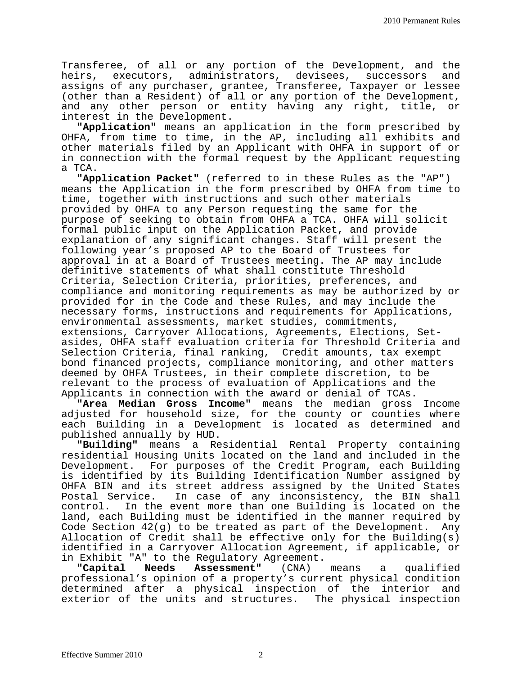Transferee, of all or any portion of the Development, and the heirs, executors, administrators, devisees, successors assigns of any purchaser, grantee, Transferee, Taxpayer or lessee (other than a Resident) of all or any portion of the Development, and any other person or entity having any right, title, or interest in the Development.

**"Application"** means an application in the form prescribed by OHFA, from time to time, in the AP, including all exhibits and other materials filed by an Applicant with OHFA in support of or in connection with the formal request by the Applicant requesting a TCA.

**"Application Packet"** (referred to in these Rules as the "AP") means the Application in the form prescribed by OHFA from time to time, together with instructions and such other materials provided by OHFA to any Person requesting the same for the purpose of seeking to obtain from OHFA a TCA. OHFA will solicit formal public input on the Application Packet, and provide explanation of any significant changes. Staff will present the following year's proposed AP to the Board of Trustees for approval in at a Board of Trustees meeting. The AP may include definitive statements of what shall constitute Threshold Criteria, Selection Criteria, priorities, preferences, and compliance and monitoring requirements as may be authorized by or provided for in the Code and these Rules, and may include the necessary forms, instructions and requirements for Applications, environmental assessments, market studies, commitments, extensions, Carryover Allocations, Agreements, Elections, Setasides, OHFA staff evaluation criteria for Threshold Criteria and Selection Criteria, final ranking, Credit amounts, tax exempt bond financed projects, compliance monitoring, and other matters deemed by OHFA Trustees, in their complete discretion, to be relevant to the process of evaluation of Applications and the<br>Applicants in connection with the award or denial of TCAs.

"Area Median Gross Income" means the median gross Income adjusted for household size, for the county or counties where each Building in a Development is located as determined and<br>published annually by HUD.

"Building" means a Residential Rental Property containing residential Housing Units located on the land and included in the Development. For purposes of the Credit Program, each Building is identified by its Building Identification Number assigned by OHFA BIN and its street address assigned by the United States<br>Postal Service. In case of any inconsistency, the BIN shall Postal Service. In case of any inconsistency, the BIN shall control. In the event more than one Building is located on the In the event more than one Building is located on the land, each Building must be identified in the manner required by Code Section 42(g) to be treated as part of the Development. Any Allocation of Credit shall be effective only for the Building(s) identified in a Carryover Allocation Agreement, if applicable, or in Exhibit "A" to the Regulatory Agreement.<br>"Capital Needs Assessment" (CNA) means

**Assessment"** (CNA) means a qualified professional's opinion of a property's current physical condition determined after a physical inspection of the interior and exterior of the units and structures. The physical inspection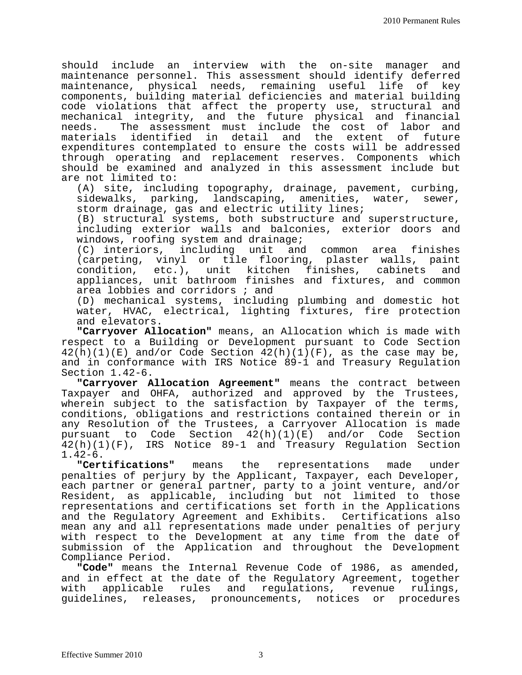should include an interview with the on-site manager and maintenance personnel. This assessment should identify deferred maintenance, physical needs, remaining useful life of key components, building material deficiencies and material building code violations that affect the property use, structural and mechanical integrity, and the future physical and financial The assessment must include the cost of labor and<br>identified in detail and the extent of future materials identified in detail expenditures contemplated to ensure the costs will be addressed through operating and replacement reserves. Components which should be examined and analyzed in this assessment include but are not limited to:

(A) site, including topography, drainage, pavement, curbing,<br>sidewalks, parking, landscaping, amenities, water, sewer, sidewalks, parking, landscaping, amenities, storm drainage, gas and electric utility lines;

(B) structural systems, both substructure and superstructure, including exterior walls and balconies, exterior doors and windows, roofing system and drainage;

(C) interiors, including unit and common area finishes (carpeting, vinyl or tile flooring, plaster walls, paint condition, etc.), unit kitchen finishes, cabinets and appliances, unit bathroom finishes and fixtures, and common area lobbies and corridors ; and

(D) mechanical systems, including plumbing and domestic hot water, HVAC, electrical, lighting fixtures, fire protection and elevators.

**"Carryover Allocation"** means, an Allocation which is made with respect to a Building or Development pursuant to Code Section  $42(h)(1)(E)$  and/or Code Section  $42(h)(1)(F)$ , as the case may be, and in conformance with IRS Notice 89-1 and Treasury Regulation Section 1.42-6.

**"Carryover Allocation Agreement"** means the contract between Taxpayer and OHFA, authorized and approved by the Trustees, wherein subject to the satisfaction by Taxpayer of the terms, conditions, obligations and restrictions contained therein or in any Resolution of the Trustees, a Carryover Allocation is made pursuant to Code Section 42(h)(1)(E) and/or Code Section 42(h)(1)(F), IRS Notice 89-1 and Treasury Regulation Section 1.42-6.

**"Certifications"** means the representations made under penalties of perjury by the Applicant, Taxpayer, each Developer, each partner or general partner, party to a joint venture, and/or Resident, as applicable, including but not limited to those representations and certifications set forth in the Applications and the Regulatory Agreement and Exhibits. Certifications also mean any and all representations made under penalties of perjury with respect to the Development at any time from the date of submission of the Application and throughout the Development<br>Compliance Period.

"Code" means the Internal Revenue Code of 1986, as amended, and in effect at the date of the Regulatory Agreement, together with applicable rules and regulations, revenue rulings, guidelines, releases, pronouncements, notices or procedures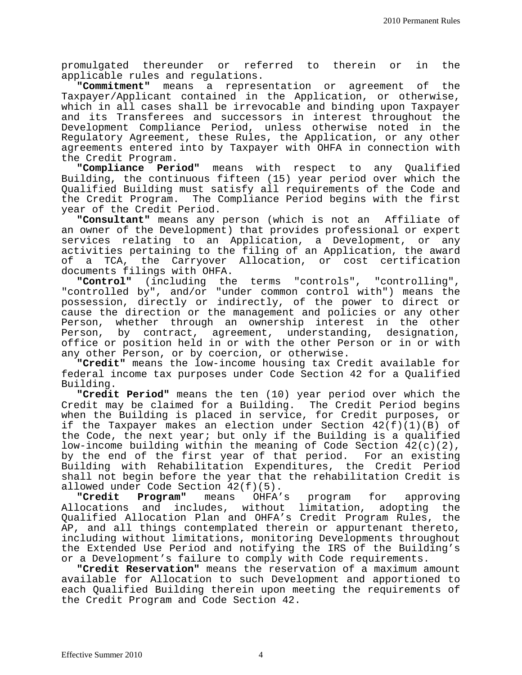promulgated thereunder or referred to therein or in the applicable rules and regulations.

**"Commitment"** means a representation or agreement of the Taxpayer/Applicant contained in the Application, or otherwise, which in all cases shall be irrevocable and binding upon Taxpayer and its Transferees and successors in interest throughout the Development Compliance Period, unless otherwise noted in the Regulatory Agreement, these Rules, the Application, or any other agreements entered into by Taxpayer with OHFA in connection with

the Credit Program.<br>"Compliance Period" means with respect to any Qualified Building, the continuous fifteen (15) year period over which the Qualified Building must satisfy all requirements of the Code and the Credit Program. The Compliance Period begins with the first year of the Credit Period.

**"Consultant"** means any person (which is not an Affiliate of an owner of the Development) that provides professional or expert services relating to an Application, a Development, or any activities pertaining to the filing of an Application, the award of a TCA, the Carryover Allocation, or cost certification documents filings with OHFA.<br>"Control" (including the

**"Control"** (including the terms "controls", "controlling", "controlled by", and/or "under common control with") means the possession, directly or indirectly, of the power to direct or cause the direction or the management and policies or any other Person, whether through an ownership interest in the other<br>Person, by contract, agreement, understanding, designation, by contract, agreement, understanding, designation, office or position held in or with the other Person or in or with<br>any other Person, or by coercion, or otherwise.

"Credit" means the low-income housing tax Credit available for federal income tax purposes under Code Section 42 for a Qualified Building.

**"Credit Period"** means the ten (10) year period over which the Credit may be claimed for a Building. The Credit Period begins when the Building is placed in service, for Credit purposes, or if the Taxpayer makes an election under Section 42(f)(1)(B) of the Code, the next year; but only if the Building is a qualified low-income building within the meaning of Code Section 42(c)(2), by the end of the first year of that period. For an existing<br>Building with Rehabilitation Expenditures, the Credit Period Building with Rehabilitation Expenditures, the Credit shall not begin before the year that the rehabilitation Credit is allowed under Code Section 42(f)(5).<br>"Credit Program" means OHFA

OHFA's program for approving Allocations and includes, without limitation, adopting the Qualified Allocation Plan and OHFA's Credit Program Rules, the AP, and all things contemplated therein or appurtenant thereto, including without limitations, monitoring Developments throughout the Extended Use Period and notifying the IRS of the Building's or a Development's failure to comply with Code requirements.

**"Credit Reservation"** means the reservation of a maximum amount available for Allocation to such Development and apportioned to each Qualified Building therein upon meeting the requirements of the Credit Program and Code Section 42.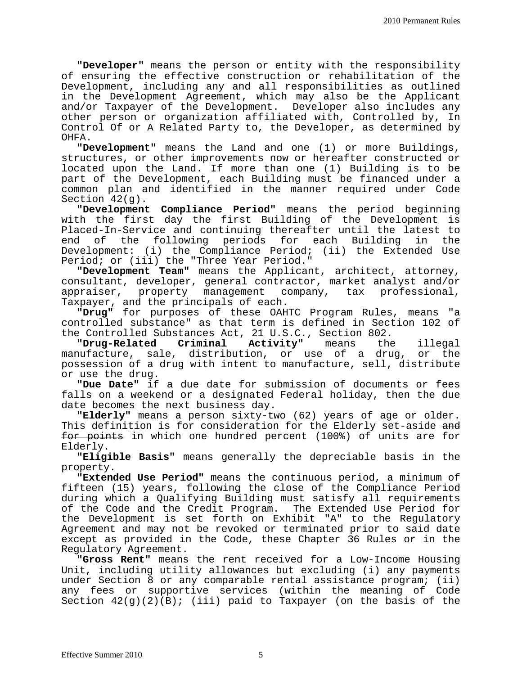**"Developer"** means the person or entity with the responsibility of ensuring the effective construction or rehabilitation of the Development, including any and all responsibilities as outlined in the Development Agreement, which may also be the Applicant and/or Taxpayer of the Development. Developer also includes any other person or organization affiliated with, Controlled by, In Control Of or A Related Party to, the Developer, as determined by OHFA.

**"Development"** means the Land and one (1) or more Buildings, structures, or other improvements now or hereafter constructed or located upon the Land. If more than one (1) Building is to be part of the Development, each Building must be financed under a common plan and identified in the manner required under Code Section 42(g).

**"Development Compliance Period"** means the period beginning with the first day the first Building of the Development is Placed-In-Service and continuing thereafter until the latest to<br>end of the following periods for each Building in the the following periods for each Building in the<br>ent: (i) the Compliance Period; (ii) the Extended Use Development:  $(i)$  the Compliance Period; Period; or (iii) the "Three Year Period."

**"Development Team"** means the Applicant, architect, attorney, consultant, developer, general contractor, market analyst and/or<br>appraiser, property management company, tax professional, appraiser, property management c<br>Taxpayer, and the principals of each.

**"Drug"** for purposes of these OAHTC Program Rules, means "a controlled substance" as that term is defined in Section 102 of the Controlled Substances Act, 21 U.S.C., Section 802.<br>"Drug-Related Criminal Activity" means the

**"Drug-Related Criminal Activity"** means the illegal manufacture, sale, distribution, or use of a drug, or the possession of a drug with intent to manufacture, sell, distribute or use the drug.

**"Due Date"** if a due date for submission of documents or fees falls on a weekend or a designated Federal holiday, then the due<br>date becomes the next business day.

**"Elderly"** means a person sixty-two (62) years of age or older. This definition is for consideration for the Elderly set-aside and for points in which one hundred percent (100%) of units are for

Elderly. **"Eligible Basis"** means generally the depreciable basis in the property.

**"Extended Use Period"** means the continuous period, a minimum of fifteen (15) years, following the close of the Compliance Period during which a Qualifying Building must satisfy all requirements of the Code and the Credit Program. The Extended Use Period for the Development is set forth on Exhibit "A" to the Regulatory Agreement and may not be revoked or terminated prior to said date except as provided in the Code, these Chapter 36 Rules or in the Regulatory Agreement.

**"Gross Rent"** means the rent received for a Low-Income Housing Unit, including utility allowances but excluding (i) any payments under Section 8 or any comparable rental assistance program; (ii) any fees or supportive services (within the meaning of Code Section  $42(g)(2)(B)$ ; (iii) paid to Taxpayer (on the basis of the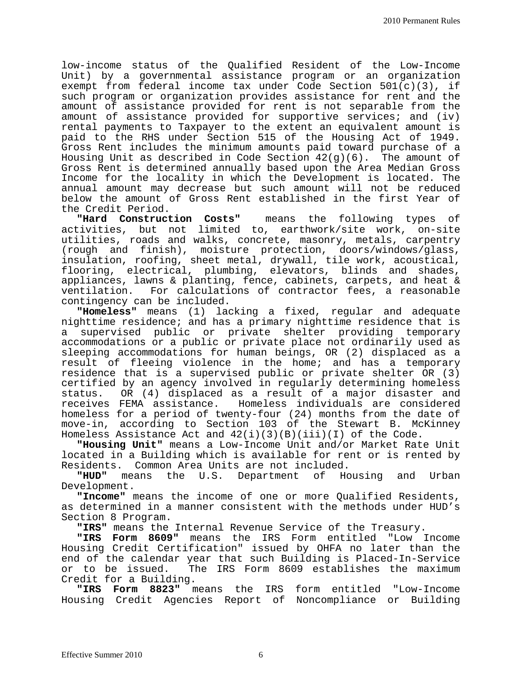low-income status of the Qualified Resident of the Low-Income Unit) by a governmental assistance program or an organization exempt from federal income tax under Code Section 501(c)(3), if such program or organization provides assistance for rent and the amount of assistance provided for rent is not separable from the amount of assistance provided for supportive services; and (iv) rental payments to Taxpayer to the extent an equivalent amount is paid to the RHS under Section 515 of the Housing Act of 1949. Gross Rent includes the minimum amounts paid toward purchase of a Housing Unit as described in Code Section  $42(g)(6)$ . The amount of Gross Rent is determined annually based upon the Area Median Gross Income for the locality in which the Development is located. The annual amount may decrease but such amount will not be reduced below the amount of Gross Rent established in the first Year of

the Credit Period.<br>"Hard Construction Costs" **"Hard Construction Costs"** means the following types of activities, but not limited to, earthwork/site work, on-site utilities, roads and walks, concrete, masonry, metals, carpentry (rough and finish), moisture protection, doors/windows/glass, insulation, roofing, sheet metal, drywall, tile work, acoustical, flooring, electrical, plumbing, elevators, blinds and shades, appliances, lawns & planting, fence, cabinets, carpets, and heat & ventilation. For calculations of contractor fees, a reasonable contingency can be included.

**"Homeless"** means (1) lacking a fixed, regular and adequate nighttime residence; and has a primary nighttime residence that is a supervised public or private shelter providing temporary accommodations or a public or private place not ordinarily used as sleeping accommodations for human beings, OR (2) displaced as a result of fleeing violence in the home; and has a temporary residence that is a supervised public or private shelter OR (3) certified by an agency involved in regularly determining homeless<br>status. OR (4) displaced as a result of a major disaster and status. OR (4) displaced as a result of a major disaster and Homeless individuals are considered homeless for a period of twenty-four (24) months from the date of move-in, according to Section 103 of the Stewart B. McKinney Homeless Assistance Act and  $42(i)(3)(B)(iii)(I)$  of the Code.

**"Housing Unit"** means a Low-Income Unit and/or Market Rate Unit located in a Building which is available for rent or is rented by

Residents. Common Area Units are not included.<br>"HUD" means the U.S. Department of Housing and the U.S. Department of Housing and Urban Development.

**"Income"** means the income of one or more Qualified Residents, as determined in a manner consistent with the methods under HUD's Section 8 Program.

"IRS" means the Internal Revenue Service of the Treasury.

**"IRS Form 8609"** means the IRS Form entitled "Low Income Housing Credit Certification" issued by OHFA no later than the end of the calendar year that such Building is Placed-In-Service or to be issued. The IRS Form 8609 establishes the maximum<br>Credit for a Building.

"IRS Form 8823" means the IRS form entitled "Low-Income Housing Credit Agencies Report of Noncompliance or Building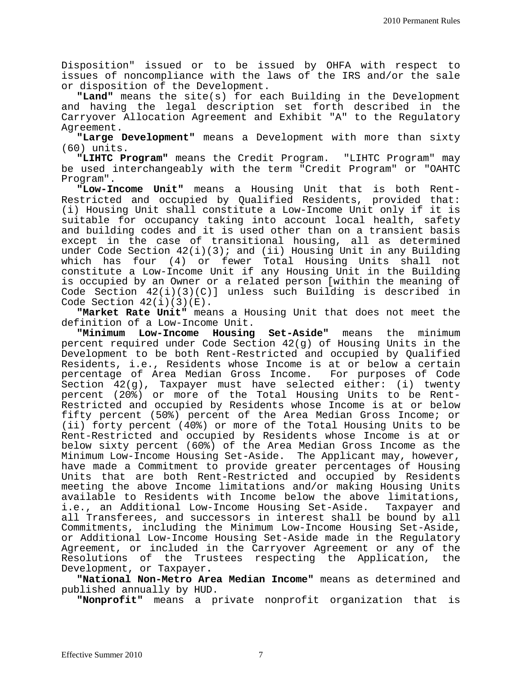Disposition" issued or to be issued by OHFA with respect to issues of noncompliance with the laws of the IRS and/or the sale or disposition of the Development.

**"Land"** means the site(s) for each Building in the Development and having the legal description set forth described in the Carryover Allocation Agreement and Exhibit "A" to the Regulatory Agreement.

**"Large Development"** means a Development with more than sixty (60) units.

**"LIHTC Program"** means the Credit Program. "LIHTC Program" may be used interchangeably with the term "Credit Program" or "OAHTC Program".

**"Low-Income Unit"** means a Housing Unit that is both Rent-Restricted and occupied by Qualified Residents, provided that: (i) Housing Unit shall constitute a Low-Income Unit only if it is suitable for occupancy taking into account local health, safety and building codes and it is used other than on a transient basis except in the case of transitional housing, all as determined under Code Section  $42(i)(3)$ ; and (ii) Housing Unit in any Building which has four (4) or fewer Total Housing Units shall not constitute a Low-Income Unit if any Housing Unit in the Building is occupied by an Owner or a related person [within the meaning of Code Section  $42(i)(3)(C)$ ] unless such Building is described in Code Section  $42(i)(3)(E)$ .

**"Market Rate Unit"** means a Housing Unit that does not meet the

definition of a Low-Income Unit.<br>"Minimum Low-Income Housing **Set-Aside"** means the minimum percent required under Code Section 42(g) of Housing Units in the Development to be both Rent-Restricted and occupied by Qualified Residents, i.e., Residents whose Income is at or below a certain percentage of Area Median Gross Income. For purposes of Code Section 42(g), Taxpayer must have selected either: (i) twenty percent (20%) or more of the Total Housing Units to be Rent-Restricted and occupied by Residents whose Income is at or below fifty percent (50%) percent of the Area Median Gross Income; or (ii) forty percent (40%) or more of the Total Housing Units to be Rent-Restricted and occupied by Residents whose Income is at or below sixty percent (60%) of the Area Median Gross Income as the Minimum Low-Income Housing Set-Aside. The Applicant may, however, have made a Commitment to provide greater percentages of Housing Units that are both Rent-Restricted and occupied by Residents meeting the above Income limitations and/or making Housing Units available to Residents with Income below the above limitations,<br>i.e., an Additional Low-Income Housing Set-Aside. Taxpayer and i.e., an Additional Low-Income Housing Set-Aside. all Transferees, and successors in interest shall be bound by all Commitments, including the Minimum Low-Income Housing Set-Aside, or Additional Low-Income Housing Set-Aside made in the Regulatory Agreement, or included in the Carryover Agreement or any of the Resolutions of the Trustees respecting the Application, the Development, or Taxpayer**.**

**"National Non-Metro Area Median Income"** means as determined and published annually by HUD.

**"Nonprofit"** means a private nonprofit organization that is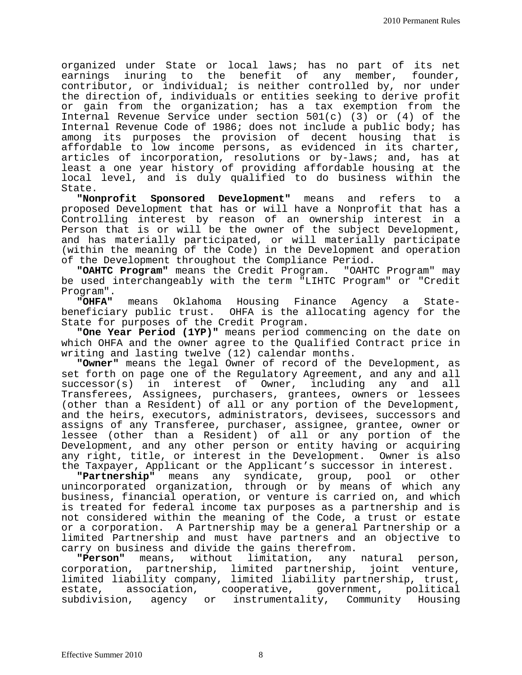organized under State or local laws; has no part of its net earnings inuring to the benefit of any member, founder, contributor, or individual; is neither controlled by, nor under the direction of, individuals or entities seeking to derive profit or gain from the organization; has a tax exemption from the Internal Revenue Service under section 501(c) (3) or (4) of the Internal Revenue Code of 1986; does not include a public body; has among its purposes the provision of decent housing that is affordable to low income persons, as evidenced in its charter, articles of incorporation, resolutions or by-laws; and, has at least a one year history of providing affordable housing at the local level, and is duly qualified to do business within the State.

**"Nonprofit Sponsored Development"** means and refers to a proposed Development that has or will have a Nonprofit that has a Controlling interest by reason of an ownership interest in a Person that is or will be the owner of the subject Development, and has materially participated, or will materially participate (within the meaning of the Code) in the Development and operation of the Development throughout the Compliance Period.

**"OAHTC Program"** means the Credit Program. "OAHTC Program" may be used interchangeably with the term "LIHTC Program" or "Credit Program".<br>"OHFA"

**"OHFA"** means Oklahoma Housing Finance Agency a Statebeneficiary public trust. OHFA is the allocating agency for the State for purposes of the Credit Program.

**"One Year Period (1YP)"** means period commencing on the date on which OHFA and the owner agree to the Qualified Contract price in<br>writing and lasting twelve (12) calendar months.

"Owner" means the legal Owner of record of the Development, as set forth on page one of the Regulatory Agreement, and any and all<br>successor(s) in interest of Owner, including any and all interest of Owner, including any and all Transferees, Assignees, purchasers, grantees, owners or lessees (other than a Resident) of all or any portion of the Development, and the heirs, executors, administrators, devisees, successors and assigns of any Transferee, purchaser, assignee, grantee, owner or lessee (other than a Resident) of all or any portion of the Development, and any other person or entity having or acquiring any right, title, or interest in the Development. Owner is also

the Taxpayer, Applicant or the Applicant's successor in interest.<br>"Partnership" means any syndicate, group, pool or other "Partnership" means any syndicate, group, pool unincorporated organization, through or by means of which any business, financial operation, or venture is carried on, and which is treated for federal income tax purposes as a partnership and is not considered within the meaning of the Code, a trust or estate or a corporation. A Partnership may be a general Partnership or a limited Partnership and must have partners and an objective to carry on business and divide the gains therefrom.

**"Person"** means, without limitation, any natural person, corporation, partnership, limited partnership, joint venture, limited liability company, limited liability partnership, trust, estate, association, cooperative, government, political subdivision, agency or instrumentality, Community Housing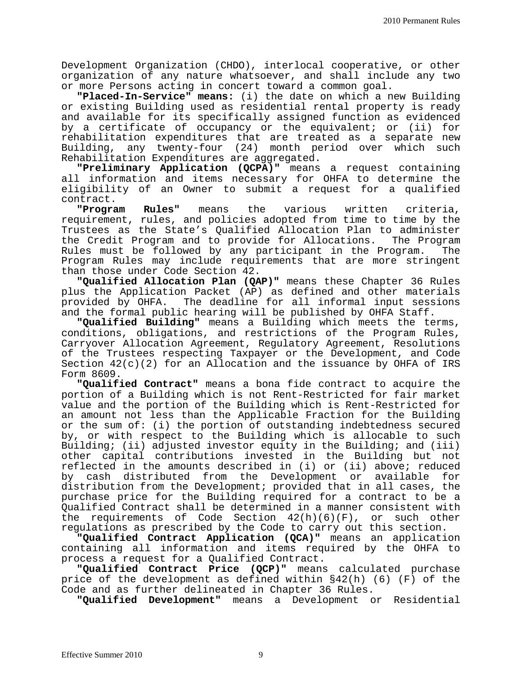Development Organization (CHDO), interlocal cooperative, or other organization of any nature whatsoever, and shall include any two or more Persons acting in concert toward a common goal.

**"Placed-In-Service" means:** (i) the date on which a new Building or existing Building used as residential rental property is ready and available for its specifically assigned function as evidenced by a certificate of occupancy or the equivalent; or (ii) for rehabilitation expenditures that are treated as a separate new Building, any twenty-four (24) month period over which such Rehabilitation Expenditures are aggregated.

**"Preliminary Application (QCPA)"** means a request containing all information and items necessary for OHFA to determine the eligibility of an Owner to submit a request for a qualified contract.<br>**Program** 

**"Program Rules"** means the various written criteria, requirement, rules, and policies adopted from time to time by the Trustees as the State's Qualified Allocation Plan to administer the Credit Program and to provide for Allocations. Rules must be followed by any participant in the Program. The Program Rules may include requirements that are more stringent than those under Code Section 42.

**"Qualified Allocation Plan (QAP)"** means these Chapter 36 Rules plus the Application Packet (AP) as defined and other materials provided by OHFA. The deadline for all informal input sessions<br>and the formal public hearing will be published by OHFA Staff.

"Qualified Building" means a Building which meets the terms, conditions, obligations, and restrictions of the Program Rules, Carryover Allocation Agreement, Regulatory Agreement, Resolutions of the Trustees respecting Taxpayer or the Development, and Code Section 42(c)(2) for an Allocation and the issuance by OHFA of IRS Form 8609.

**"Qualified Contract"** means a bona fide contract to acquire the portion of a Building which is not Rent-Restricted for fair market value and the portion of the Building which is Rent-Restricted for an amount not less than the Applicable Fraction for the Building or the sum of: (i) the portion of outstanding indebtedness secured by, or with respect to the Building which is allocable to such Building; (ii) adjusted investor equity in the Building; and (iii) other capital contributions invested in the Building but not reflected in the amounts described in (i) or (ii) above; reduced by cash distributed from the Development or available for distribution from the Development; provided that in all cases, the purchase price for the Building required for a contract to be a Qualified Contract shall be determined in a manner consistent with the requirements of Code Section  $42(h)(6)(F)$ , or such other regulations as prescribed by the Code to carry out this section.

**"Qualified Contract Application (QCA)"** means an application containing all information and items required by the OHFA to process a request for a Qualified Contract.

**"Qualified Contract Price (QCP)"** means calculated purchase price of the development as defined within §42(h) (6) (F) of the Code and as further delineated in Chapter 36 Rules.

**"Qualified Development"** means a Development or Residential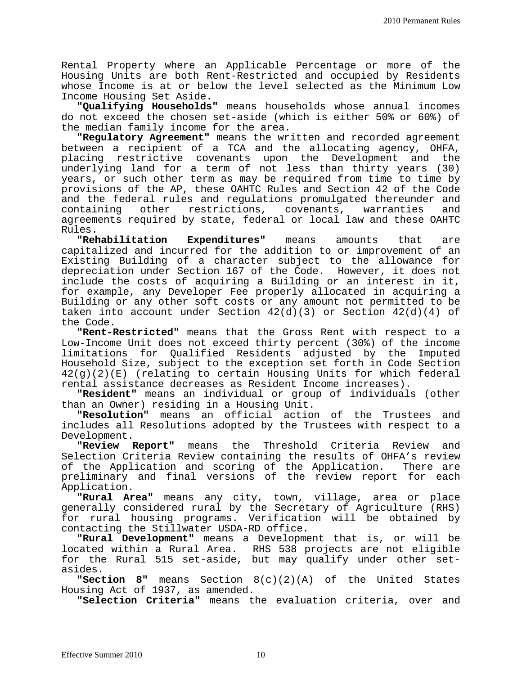Rental Property where an Applicable Percentage or more of the Housing Units are both Rent-Restricted and occupied by Residents whose Income is at or below the level selected as the Minimum Low Income Housing Set Aside.

**"Qualifying Households"** means households whose annual incomes do not exceed the chosen set-aside (which is either 50% or 60%) of the median family income for the area.

**"Regulatory Agreement"** means the written and recorded agreement between a recipient of a TCA and the allocating agency, OHFA, placing restrictive covenants upon the Development and the underlying land for a term of not less than thirty years (30) years, or such other term as may be required from time to time by provisions of the AP, these OAHTC Rules and Section 42 of the Code and the federal rules and regulations promulgated thereunder and<br>containing other restrictions, covenants, warranties and containing other restrictions, covenants, warranties and agreements required by state, federal or local law and these OAHTC Rules.

**"Rehabilitation Expenditures"** means amounts that are capitalized and incurred for the addition to or improvement of an Existing Building of a character subject to the allowance for depreciation under Section 167 of the Code. However, it does not include the costs of acquiring a Building or an interest in it, for example, any Developer Fee properly allocated in acquiring a Building or any other soft costs or any amount not permitted to be taken into account under Section  $42(d)(3)$  or Section  $42(d)(4)$  of the Code.

**"Rent-Restricted"** means that the Gross Rent with respect to a Low-Income Unit does not exceed thirty percent (30%) of the income limitations for Qualified Residents adjusted by the Imputed Household Size, subject to the exception set forth in Code Section 42(g)(2)(E) (relating to certain Housing Units for which federal rental assistance decreases as Resident Income increases).

**"Resident"** means an individual or group of individuals (other than an Owner) residing in a Housing Unit.

**"Resolution"** means an official action of the Trustees and includes all Resolutions adopted by the Trustees with respect to a

Development.<br>"Review Report" means the Threshold Criteria Review and Selection Criteria Review containing the results of OHFA's review<br>of the Application and scoring of the Application. There are of the Application and scoring of the Application. preliminary and final versions of the review report for each Application.

**"Rural Area"** means any city, town, village, area or place generally considered rural by the Secretary of Agriculture (RHS) for rural housing programs. Verification will be obtained by contacting the Stillwater USDA-RD office.

**"Rural Development"** means a Development that is, or will be located within a Rural Area. RHS 538 projects are not eligible for the Rural 515 set-aside, but may qualify under other setasides.

**"Section 8"** means Section 8(c)(2)(A) of the United States Housing Act of 1937, as amended.

**"Selection Criteria"** means the evaluation criteria, over and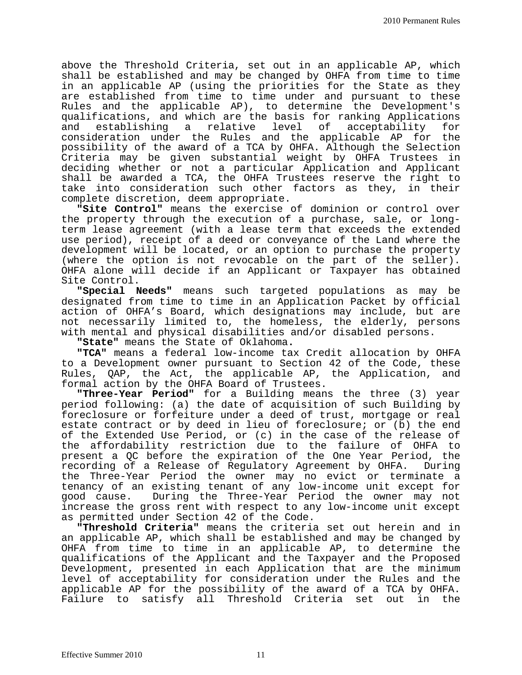above the Threshold Criteria, set out in an applicable AP, which shall be established and may be changed by OHFA from time to time in an applicable AP (using the priorities for the State as they are established from time to time under and pursuant to these Rules and the applicable AP), to determine the Development's qualifications, and which are the basis for ranking Applications a relative level consideration under the Rules and the applicable AP for the possibility of the award of a TCA by OHFA. Although the Selection Criteria may be given substantial weight by OHFA Trustees in deciding whether or not a particular Application and Applicant shall be awarded a TCA, the OHFA Trustees reserve the right to take into consideration such other factors as they, in their complete discretion, deem appropriate.

**"Site Control"** means the exercise of dominion or control over the property through the execution of a purchase, sale, or longterm lease agreement (with a lease term that exceeds the extended use period), receipt of a deed or conveyance of the Land where the development will be located, or an option to purchase the property (where the option is not revocable on the part of the seller). OHFA alone will decide if an Applicant or Taxpayer has obtained Site Control.

**"Special Needs"** means such targeted populations as may be designated from time to time in an Application Packet by official action of OHFA's Board, which designations may include, but are not necessarily limited to, the homeless, the elderly, persons with mental and physical disabilities and/or disabled persons.

**"State"** means the State of Oklahoma**.**

**"TCA"** means a federal low-income tax Credit allocation by OHFA to a Development owner pursuant to Section 42 of the Code, these Rules, QAP, the Act, the applicable AP, the Application, and formal action by the OHFA Board of Trustees.

**"Three-Year Period"** for a Building means the three (3) year period following: (a) the date of acquisition of such Building by foreclosure or forfeiture under a deed of trust, mortgage or real estate contract or by deed in lieu of foreclosure; or (b) the end of the Extended Use Period, or (c) in the case of the release of the affordability restriction due to the failure of OHFA to present a QC before the expiration of the One Year Period, the<br>recording of a Release of Requlatory Agreement by OHFA. During recording of a Release of Regulatory Agreement by OHFA. the Three-Year Period the owner may no evict or terminate a tenancy of an existing tenant of any low-income unit except for good cause. During the Three-Year Period the owner may not increase the gross rent with respect to any low-income unit except as permitted under Section 42 of the Code.

**"Threshold Criteria"** means the criteria set out herein and in an applicable AP, which shall be established and may be changed by OHFA from time to time in an applicable AP, to determine the qualifications of the Applicant and the Taxpayer and the Proposed Development, presented in each Application that are the minimum level of acceptability for consideration under the Rules and the applicable AP for the possibility of the award of a TCA by OHFA. Failure to satisfy all Threshold Criteria set out in the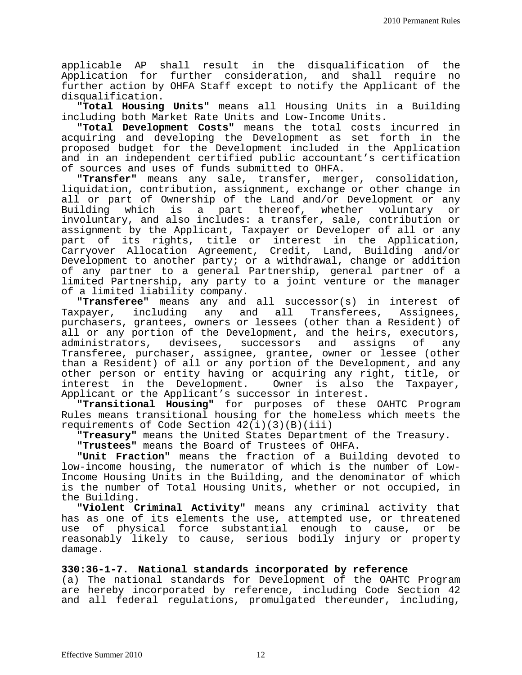applicable AP shall result in the disqualification of the Application for further consideration, and shall require no further action by OHFA Staff except to notify the Applicant of the disqualification.

**"Total Housing Units"** means all Housing Units in a Building including both Market Rate Units and Low-Income Units.

**"Total Development Costs"** means the total costs incurred in acquiring and developing the Development as set forth in the proposed budget for the Development included in the Application and in an independent certified public accountant's certification of sources and uses of funds submitted to OHFA.

**"Transfer"** means any sale, transfer, merger, consolidation, liquidation, contribution, assignment, exchange or other change in all or part of Ownership of the Land and/or Development or any<br>Building which is a part thereof, whether voluntary or which is a part thereof, involuntary, and also includes: a transfer, sale, contribution or assignment by the Applicant, Taxpayer or Developer of all or any part of its rights, title or interest in the Application, Carryover Allocation Agreement, Credit, Land, Building and/or Development to another party; or a withdrawal, change or addition of any partner to a general Partnership, general partner of a limited Partnership, any party to a joint venture or the manager of a limited liability company.

**"Transferee"** means any and all successor(s) in interest of Taxpayer, including any and all Transferees, Assignees, including any and all Transferees, Assignees, purchasers, grantees, owners or lessees (other than a Resident) of all or any portion of the Development, and the heirs, executors,<br>administrators, devisees, successors and assigns of any devisees, successors and assigns of any Transferee, purchaser, assignee, grantee, owner or lessee (other than a Resident) of all or any portion of the Development, and any other person or entity having or acquiring any right, title, or interest in the Development. Owner is also the Taxpayer, Applicant or the Applicant's successor in interest.

**"Transitional Housing"** for purposes of these OAHTC Program Rules means transitional housing for the homeless which meets the requirements of Code Section 42(i)(3)(B)(iii)

**"Treasury"** means the United States Department of the Treasury.

**"Trustees"** means the Board of Trustees of OHFA.

**"Unit Fraction"** means the fraction of a Building devoted to low-income housing, the numerator of which is the number of Low-Income Housing Units in the Building, and the denominator of which is the number of Total Housing Units, whether or not occupied, in the Building.

**"Violent Criminal Activity"** means any criminal activity that has as one of its elements the use, attempted use, or threatened use of physical force substantial enough to cause, or be reasonably likely to cause, serious bodily injury or property damage.

**330:36-1-7. National standards incorporated by reference**

(a) The national standards for Development of the OAHTC Program are hereby incorporated by reference, including Code Section 42 and all federal regulations, promulgated thereunder, including,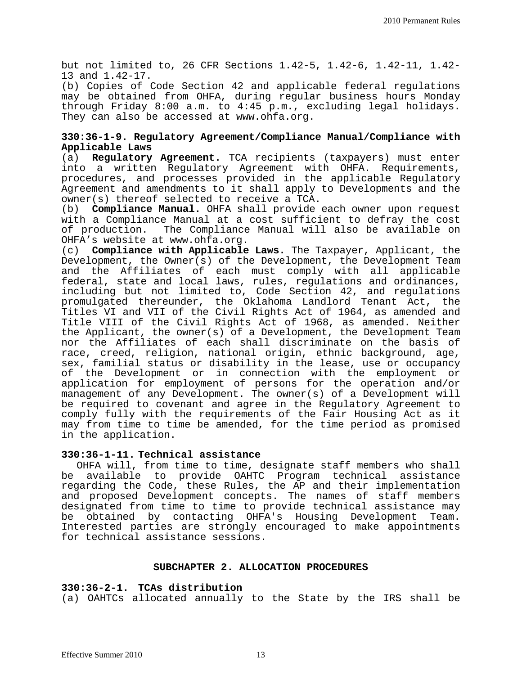but not limited to, 26 CFR Sections 1.42-5, 1.42-6, 1.42-11, 1.42- 13 and 1.42-17.

(b) Copies of Code Section 42 and applicable federal regulations may be obtained from OHFA, during regular business hours Monday through Friday 8:00 a.m. to 4:45 p.m., excluding legal holidays. They can also be accessed at www.ohfa.org.

### **330:36-1-9. Regulatory Agreement/Compliance Manual/Compliance with Applicable Laws**

Regulatory Agreement. TCA recipients (taxpayers) must enter into a written Regulatory Agreement with OHFA. Requirements, procedures, and processes provided in the applicable Regulatory Agreement and amendments to it shall apply to Developments and the owner(s) thereof selected to receive a TCA.

(b) **Compliance Manual.** OHFA shall provide each owner upon request with a Compliance Manual at a cost sufficient to defray the cost of production. The Compliance Manual will also be available on OHFA's website at www.ohfa.org.

(c) **Compliance with Applicable Laws.** The Taxpayer, Applicant, the Development, the Owner(s) of the Development, the Development Team and the Affiliates of each must comply with all applicable federal, state and local laws, rules, regulations and ordinances, including but not limited to, Code Section 42, and regulations promulgated thereunder, the Oklahoma Landlord Tenant Act, the Titles VI and VII of the Civil Rights Act of 1964, as amended and Title VIII of the Civil Rights Act of 1968, as amended. Neither the Applicant, the owner(s) of a Development, the Development Team nor the Affiliates of each shall discriminate on the basis of race, creed, religion, national origin, ethnic background, age, sex, familial status or disability in the lease, use or occupancy of the Development or in connection with the employment or application for employment of persons for the operation and/or management of any Development. The owner(s) of a Development will be required to covenant and agree in the Regulatory Agreement to comply fully with the requirements of the Fair Housing Act as it may from time to time be amended, for the time period as promised in the application.

#### **330:36-1-11. Technical assistance**

OHFA will, from time to time, designate staff members who shall be available to provide OAHTC Program technical assistance regarding the Code, these Rules, the AP and their implementation and proposed Development concepts. The names of staff members designated from time to time to provide technical assistance may<br>be obtained by contacting OHFA's Housing Development Team. be obtained by contacting OHFA's Housing Development Interested parties are strongly encouraged to make appointments for technical assistance sessions.

#### **SUBCHAPTER 2. ALLOCATION PROCEDURES**

#### **330:36-2-1. TCAs distribution**

(a) OAHTCs allocated annually to the State by the IRS shall be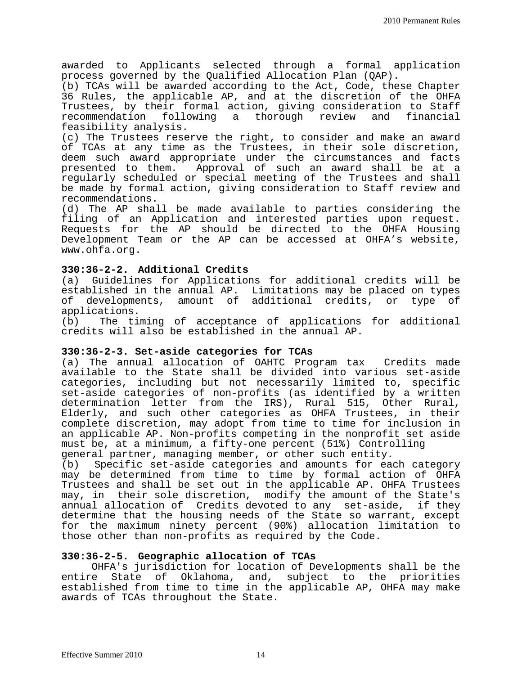awarded to Applicants selected through a formal application process governed by the Qualified Allocation Plan (QAP).

(b) TCAs will be awarded according to the Act, Code, these Chapter 36 Rules, the applicable AP, and at the discretion of the OHFA Trustees, by their formal action, giving consideration to Staff recommendation following a thorough review and financial feasibility analysis.

(c) The Trustees reserve the right, to consider and make an award of TCAs at any time as the Trustees, in their sole discretion, deem such award appropriate under the circumstances and facts presented to them. Approval of such an award shall be at a regularly scheduled or special meeting of the Trustees and shall be made by formal action, giving consideration to Staff review and recommendations.

(d) The AP shall be made available to parties considering the filing of an Application and interested parties upon request. Requests for the AP should be directed to the OHFA Housing Development Team or the AP can be accessed at OHFA's website, www.ohfa.org.

#### **330:36-2-2. Additional Credits**

(a) Guidelines for Applications for additional credits will be established in the annual AP. Limitations may be placed on types of developments, amount of additional credits, or type of applications.<br>(b) The ti

The timing of acceptance of applications for additional credits will also be established in the annual AP.

#### **330:36-2-3. Set-aside categories for TCAs**

(a) The annual allocation of OAHTC Program tax Credits made available to the State shall be divided into various set-aside categories, including but not necessarily limited to, specific set-aside categories of non-profits (as identified by a written<br>determination letter from the IRS), Rural 515, Other Rural, Elderly, and such other categories as OHFA Trustees, in their complete discretion, may adopt from time to time for inclusion in an applicable AP. Non-profits competing in the nonprofit set aside must be, at a minimum, a fifty-one percent (51%) Controlling

(b) Specific set-aside categories and amounts for each category may be determined from time to time by formal action of OHFA Trustees and shall be set out in the applicable AP. OHFA Trustees may, in their sole discretion, modify the amount of the State's annual allocation of Credits devoted to any set-aside, if they determine that the housing needs of the State so warrant, except for the maximum ninety percent (90%) allocation limitation to those other than non-profits as required by the Code.

#### **330:36-2-5. Geographic allocation of TCAs**

OHFA's jurisdiction for location of Developments shall be the<br>entire State of Oklahoma, and, subject to the priorities State of Oklahoma, and, subject to the priorities established from time to time in the applicable AP, OHFA may make awards of TCAs throughout the State.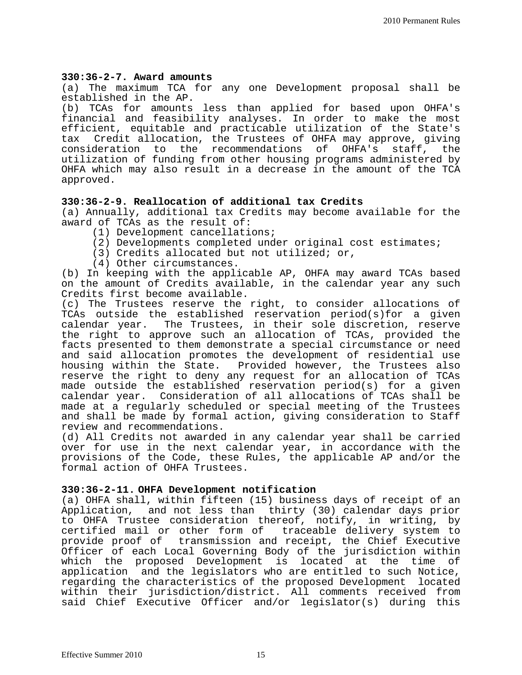#### **330:36-2-7. Award amounts**

(a) The maximum TCA for any one Development proposal shall be established in the AP.<br>(b) TCAs for amounts

TCAs for amounts less than applied for based upon OHFA's financial and feasibility analyses. In order to make the most efficient, equitable and practicable utilization of the State's<br>tax Credit allocation, the Trustees of OHFA may approve, giving Credit allocation, the Trustees of OHFA may approve, giving<br>deration to the recommendations of OHFA's staff, the consideration to the recommendations of utilization of funding from other housing programs administered by OHFA which may also result in a decrease in the amount of the TCA approved.

#### **330:36-2-9. Reallocation of additional tax Credits**

(a) Annually, additional tax Credits may become available for the award of TCAs as the result of:<br>(1) Development cancellations;

- 
- (2) Developments completed under original cost estimates;<br>(3) Credits allocated but not utilized; or,<br>(4) Other circumstances.
- 
- 

(b) In keeping with the applicable AP, OHFA may award TCAs based on the amount of Credits available, in the calendar year any such Credits first become available.

(c) The Trustees reserve the right, to consider allocations of TCAs outside the established reservation period(s)for a given<br>calendar year. The Trustees, in their sole discretion, reserve The Trustees, in their sole discretion, reserve the right to approve such an allocation of TCAs, provided the facts presented to them demonstrate a special circumstance or need and said allocation promotes the development of residential use housing within the State. Provided however, the Trustees also reserve the right to deny any request for an allocation of TCAs made outside the established reservation period(s) for a given calendar year. Consideration of all allocations of TCAs shall be made at a regularly scheduled or special meeting of the Trustees and shall be made by formal action, giving consideration to Staff review and recommendations.

(d) All Credits not awarded in any calendar year shall be carried over for use in the next calendar year, in accordance with the provisions of the Code, these Rules, the applicable AP and/or the formal action of OHFA Trustees.

#### **330:36-2-11. OHFA Development notification**

(a) OHFA shall, within fifteen (15) business days of receipt of an Application, and not less than thirty (30) calendar days prior to OHFA Trustee consideration thereof, notify, in writing, by certified mail or other form of traceable delivery system to provide proof of transmission and receipt, the Chief Executive Officer of each Local Governing Body of the jurisdiction within which the proposed Development is located at the time of application and the legislators who are entitled to such Notice, regarding the characteristics of the proposed Development located within their jurisdiction/district. All comments received from said Chief Executive Officer and/or legislator(s) during this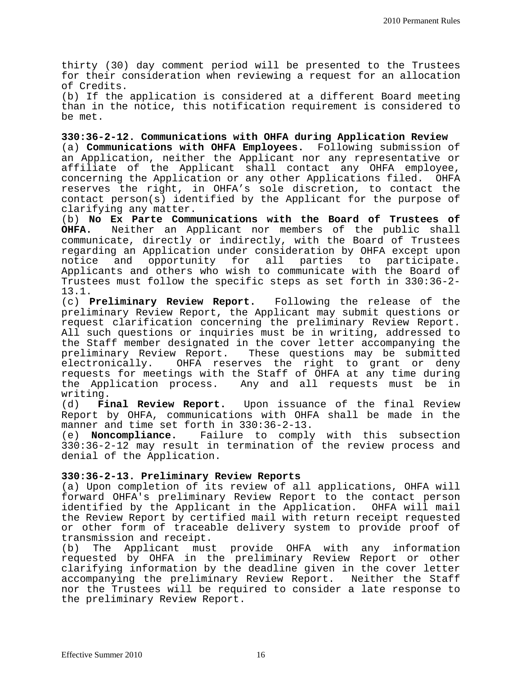thirty (30) day comment period will be presented to the Trustees for their consideration when reviewing a request for an allocation of Credits.

(b) If the application is considered at a different Board meeting than in the notice, this notification requirement is considered to be met.

**330:36-2-12. Communications with OHFA during Application Review**

(a) **Communications with OHFA Employees.** Following submission of an Application, neither the Applicant nor any representative or affiliate of the Applicant shall contact any OHFA employee, concerning the Application or any other Applications filed. OHFA reserves the right, in OHFA's sole discretion, to contact the contact person(s) identified by the Applicant for the purpose of clarifying any matter.

(b) **No Ex Parte Communications with the Board of Trustees of**  Neither an Applicant nor members of the public shall communicate, directly or indirectly, with the Board of Trustees regarding an Application under consideration by OHFA except upon<br>notice and opportunity for all parties to participate. parties to participate. Applicants and others who wish to communicate with the Board of Trustees must follow the specific steps as set forth in 330:36-2- 13.1.

(c) **Preliminary Review Report.** Following the release of the preliminary Review Report, the Applicant may submit questions or request clarification concerning the preliminary Review Report. All such questions or inquiries must be in writing, addressed to the Staff member designated in the cover letter accompanying the<br>preliminary Review Report. These questions may be submitted These questions may be submitted electronically. OHFA reserves the right to grant or deny requests for meetings with the Staff of OHFA at any time during the Application process. Any and all requests must be in

writing.<br>(d) **Final Review Report.** Upon issuance of the final Review Report by OHFA, communications with OHFA shall be made in the manner and time set forth in 330:36-2-13.

(e) **Noncompliance.** Failure to comply with this subsection 330:36-2-12 may result in termination of the review process and denial of the Application.

### **330:36-2-13. Preliminary Review Reports**

(a) Upon completion of its review of all applications, OHFA will forward OHFA's preliminary Review Report to the contact person identified by the Applicant in the Application. OHFA will mail the Review Report by certified mail with return receipt requested or other form of traceable delivery system to provide proof of transmission and receipt.<br>(b) The Applicant must

provide OHFA with any information requested by OHFA in the preliminary Review Report or other clarifying information by the deadline given in the cover letter accompanying the preliminary Review Report. Neither the Staff nor the Trustees will be required to consider a late response to the preliminary Review Report.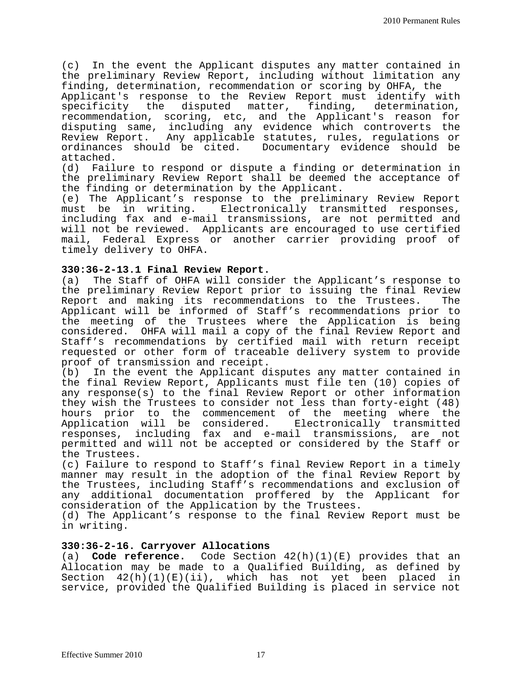(c) In the event the Applicant disputes any matter contained in the preliminary Review Report, including without limitation any finding, determination, recommendation or scoring by OHFA, the

Applicant's response to the Review Report must identify with specificity the disputed matter, finding, determination, recommendation, scoring, etc, and the Applicant's reason for disputing same, including any evidence which controverts the Review Report. Any applicable statutes, rules, regulations or<br>ordinances should be cited. Documentary evidence should be Documentary evidence should be attached.<br>(d) Fail

Failure to respond or dispute a finding or determination in the preliminary Review Report shall be deemed the acceptance of the finding or determination by the Applicant.

(e) The Applicant's response to the preliminary Review Report<br>must be in writing. Electronically transmitted responses, Electronically transmitted responses, including fax and e-mail transmissions, are not permitted and will not be reviewed. Applicants are encouraged to use certified mail, Federal Express or another carrier providing proof of timely delivery to OHFA.

## **330:36-2-13.1 Final Review Report.**

The Staff of OHFA will consider the Applicant's response to the preliminary Review Report prior to issuing the final Review<br>Report and making its recommendations to the Trustees. The Report and making its recommendations to the Trustees. Applicant will be informed of Staff's recommendations prior to the meeting of the Trustees where the Application is being considered. OHFA will mail a copy of the final Review Report and Staff's recommendations by certified mail with return receipt requested or other form of traceable delivery system to provide proof of transmission and receipt.

(b) In the event the Applicant disputes any matter contained in the final Review Report, Applicants must file ten (10) copies of any response(s) to the final Review Report or other information they wish the Trustees to consider not less than forty-eight (48) hours prior to the commencement of the meeting where the Application will be considered. Electronically transmitted responses, including fax and e-mail transmissions, are not permitted and will not be accepted or considered by the Staff or the Trustees.

(c) Failure to respond to Staff's final Review Report in a timely manner may result in the adoption of the final Review Report by the Trustees, including Staff's recommendations and exclusion of any additional documentation proffered by the Applicant for consideration of the Application by the Trustees.

(d) The Applicant's response to the final Review Report must be in writing.

#### **330:36-2-16. Carryover Allocations**

(a) **Code reference.** Code Section 42(h)(1)(E) provides that an Allocation may be made to a Qualified Building, as defined by Section  $42(h)(1)(E)(ii)$ , which has not yet been placed in service, provided the Qualified Building is placed in service not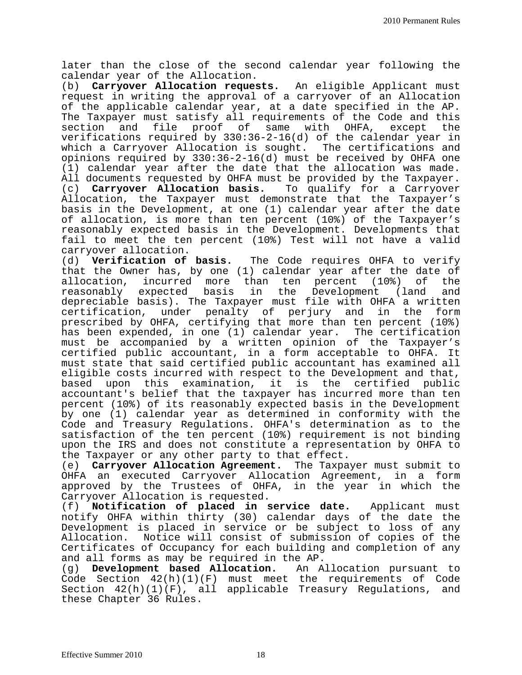later than the close of the second calendar year following the calendar year of the Allocation.

(b) **Carryover Allocation requests.** An eligible Applicant must request in writing the approval of a carryover of an Allocation of the applicable calendar year, at a date specified in the AP. The Taxpayer must satisfy all requirements of the Code and this<br>section and file proof of same with OHFA, except the and file proof of same with OHFA, except the verifications required by 330:36-2-16(d) of the calendar year in which a Carryover Allocation is sought. The certifications and opinions required by 330:36-2-16(d) must be received by OHFA one (1) calendar year after the date that the allocation was made. All documents requested by OHFA must be provided by the Taxpayer. (c) **Carryover Allocation basis.** To qualify for a Carryover Allocation, the Taxpayer must demonstrate that the Taxpayer's basis in the Development, at one (1) calendar year after the date of allocation, is more than ten percent (10%) of the Taxpayer's reasonably expected basis in the Development. Developments that fail to meet the ten percent (10%) Test will not have a valid carryover allocation.

(d) **Verification of basis.** The Code requires OHFA to verify that the Owner has, by one (1) calendar year after the date of<br>allocation, incurred more than ten percent (10%) of the allocation, incurred more than ten percent (10%) of the<br>reasonably expected basis in the Development (land and reasonably expected basis in depreciable basis). The Taxpayer must file with OHFA a written certification, under penalty of perjury and in the form prescribed by OHFA, certifying that more than ten percent (10%) has been expended, in one (1) calendar year. The certification must be accompanied by a written opinion of the Taxpayer's certified public accountant, in a form acceptable to OHFA. It must state that said certified public accountant has examined all eligible costs incurred with respect to the Development and that, based upon this examination, it is the certified public accountant's belief that the taxpayer has incurred more than ten percent (10%) of its reasonably expected basis in the Development by one (1) calendar year as determined in conformity with the Code and Treasury Regulations. OHFA's determination as to the satisfaction of the ten percent (10%) requirement is not binding upon the IRS and does not constitute a representation by OHFA to the Taxpayer or any other party to that effect.

(e) **Carryover Allocation Agreement.** The Taxpayer must submit to OHFA an executed Carryover Allocation Agreement, in a form approved by the Trustees of OHFA, in the year in which the Carryover Allocation is requested.

(f) **Notification of placed in service date.** Applicant must notify OHFA within thirty (30) calendar days of the date the Development is placed in service or be subject to loss of any Allocation. Notice will consist of submission of copies of the Certificates of Occupancy for each building and completion of any and all forms as may be required in the AP.<br>(q) Development based Allocation. An Allocation pursuant to

Development based Allocation. Code Section 42(h)(1)(F) must meet the requirements of Code Section 42(h)(1)(F), all applicable Treasury Regulations, and these Chapter 36 Rules.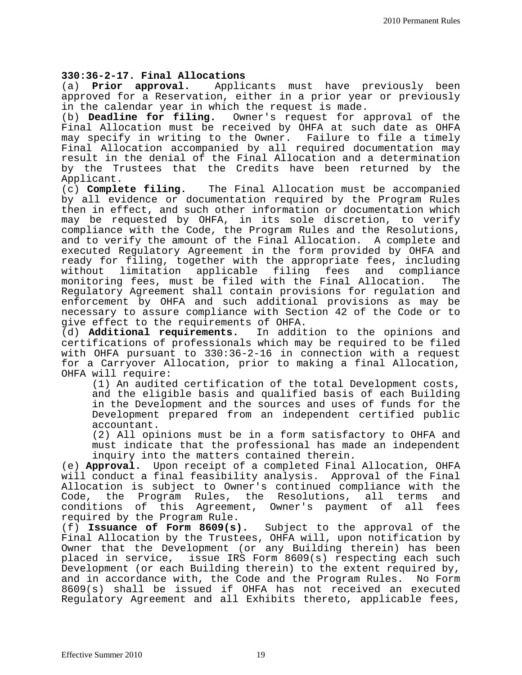# **330:36-2-17. Final Allocations**

Applicants must have previously been approved for a Reservation, either in a prior year or previously in the calendar year in which the request is made.

(b) **Deadline for filing.** Owner's request for approval of the Final Allocation must be received by OHFA at such date as OHFA may specify in writing to the Owner. Failure to file a timely Final Allocation accompanied by all required documentation may result in the denial of the Final Allocation and a determination by the Trustees that the Credits have been returned by the

Applicant.<br>(c) **Complete filing.** The Final Allocation must be accompanied by all evidence or documentation required by the Program Rules then in effect, and such other information or documentation which may be requested by OHFA, in its sole discretion, to verify compliance with the Code, the Program Rules and the Resolutions, and to verify the amount of the Final Allocation. A complete and executed Regulatory Agreement in the form provided by OHFA and ready for filing, together with the appropriate fees, including<br>without limitation applicable filing fees and compliance applicable filing fees and compliance<br>be filed with the Final Allocation. The monitoring fees, must be filed with the Final Allocation. Regulatory Agreement shall contain provisions for regulation and enforcement by OHFA and such additional provisions as may be necessary to assure compliance with Section 42 of the Code or to

give effect to the requirements of OHFA.<br>(d) **Additional requirements.** In addit In addition to the opinions and certifications of professionals which may be required to be filed with OHFA pursuant to 330:36-2-16 in connection with a request for a Carryover Allocation, prior to making a final Allocation, OHFA will require:

(1) An audited certification of the total Development costs, and the eligible basis and qualified basis of each Building in the Development and the sources and uses of funds for the Development prepared from an independent certified public accountant.

(2) All opinions must be in a form satisfactory to OHFA and must indicate that the professional has made an independent inquiry into the matters contained therein.

(e) **Approval.** Upon receipt of a completed Final Allocation, OHFA will conduct a final feasibility analysis. Approval of the Final Allocation is subject to Owner's continued compliance with the<br>Code, the Program Rules, the Resolutions, all terms and the Program Rules, the Resolutions, all terms and conditions of this Agreement, Owner's payment of all fees required by the Program Rule.<br>(f) **Issuance of Form 8609(s).** 

Subject to the approval of the Final Allocation by the Trustees, OHFA will, upon notification by Owner that the Development (or any Building therein) has been placed in service, issue IRS Form 8609(s) respecting each such Development (or each Building therein) to the extent required by, and in accordance with, the Code and the Program Rules. No Form 8609(s) shall be issued if OHFA has not received an executed Regulatory Agreement and all Exhibits thereto, applicable fees,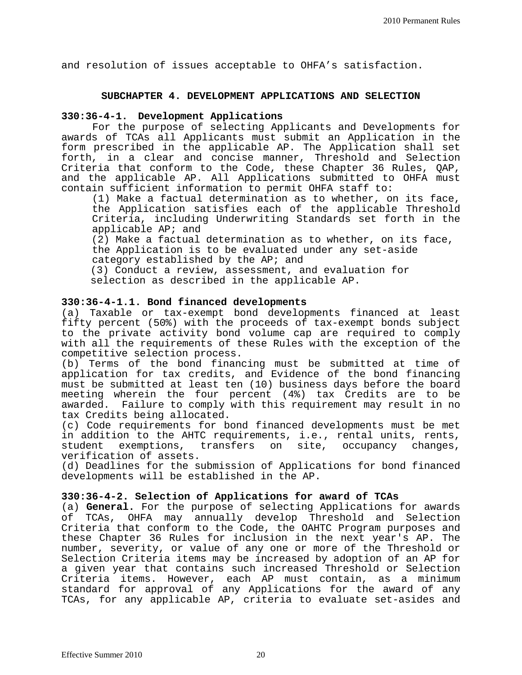and resolution of issues acceptable to OHFA's satisfaction.

#### **SUBCHAPTER 4. DEVELOPMENT APPLICATIONS AND SELECTION**

#### **330:36-4-1. Development Applications**

 For the purpose of selecting Applicants and Developments for awards of TCAs all Applicants must submit an Application in the form prescribed in the applicable AP. The Application shall set forth, in a clear and concise manner, Threshold and Selection Criteria that conform to the Code, these Chapter 36 Rules, QAP, and the applicable AP. All Applications submitted to OHFA must contain sufficient information to permit OHFA staff to:

(1) Make a factual determination as to whether, on its face, the Application satisfies each of the applicable Threshold Criteria, including Underwriting Standards set forth in the applicable AP; and

 (2) Make a factual determination as to whether, on its face, the Application is to be evaluated under any set-aside category established by the AP; and

(3) Conduct a review, assessment, and evaluation for selection as described in the applicable AP.

#### **330:36-4-1.1. Bond financed developments**

(a) Taxable or tax-exempt bond developments financed at least fifty percent (50%) with the proceeds of tax-exempt bonds subject to the private activity bond volume cap are required to comply with all the requirements of these Rules with the exception of the competitive selection process.

(b) Terms of the bond financing must be submitted at time of application for tax credits, and Evidence of the bond financing must be submitted at least ten (10) business days before the board meeting wherein the four percent (4%) tax Credits are to be awarded. Failure to comply with this requirement may result in no tax Credits being allocated.

(c) Code requirements for bond financed developments must be met in addition to the AHTC requirements, i.e., rental units, rents,<br>student exemptions, transfers on site, occupancy changes, transfers on site, occupancy changes, verification of assets.

(d) Deadlines for the submission of Applications for bond financed developments will be established in the AP.

#### **330:36-4-2. Selection of Applications for award of TCAs**

(a) **General.** For the purpose of selecting Applications for awards of TCAs, OHFA may annually develop Threshold and Selection Criteria that conform to the Code, the OAHTC Program purposes and these Chapter 36 Rules for inclusion in the next year's AP. The number, severity, or value of any one or more of the Threshold or Selection Criteria items may be increased by adoption of an AP for a given year that contains such increased Threshold or Selection Criteria items. However, each AP must contain, as a minimum standard for approval of any Applications for the award of any TCAs, for any applicable AP, criteria to evaluate set-asides and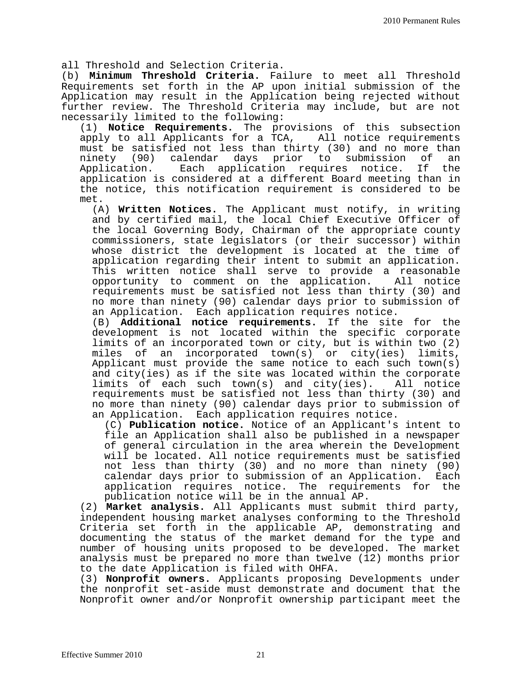all Threshold and Selection Criteria.

(b) **Minimum Threshold Criteria.** Failure to meet all Threshold Requirements set forth in the AP upon initial submission of the Application may result in the Application being rejected without further review. The Threshold Criteria may include, but are not necessarily limited to the following:

(1) **Notice Requirements.** The provisions of this subsection apply to all Applicants for a TCA, must be satisfied not less than thirty (30) and no more than<br>ninety (90) calendar days prior to submission of an ninety (90) calendar days prior to submission of an<br>Application. Each application requires notice. If the Each application requires notice. application is considered at a different Board meeting than in the notice, this notification requirement is considered to be met.

(A) **Written Notices.** The Applicant must notify, in writing and by certified mail, the local Chief Executive Officer of the local Governing Body, Chairman of the appropriate county commissioners, state legislators (or their successor) within whose district the development is located at the time of application regarding their intent to submit an application. This written notice shall serve to provide a reasonable<br>opportunity to comment on the application. All notice opportunity to comment on the application. requirements must be satisfied not less than thirty (30) and no more than ninety (90) calendar days prior to submission of an Application. Each application requires notice.

(B) **Additional notice requirements.** If the site for the development is not located within the specific corporate limits of an incorporated town or city, but is within two (2) miles of an incorporated town(s) or city(ies) limits, Applicant must provide the same notice to each such town(s) and city(ies) as if the site was located within the corporate limits of each such town(s) and city(ies). All notice requirements must be satisfied not less than thirty (30) and no more than ninety (90) calendar days prior to submission of an Application. Each application requires notice.

(C) **Publication notice.** Notice of an Applicant's intent to file an Application shall also be published in a newspaper of general circulation in the area wherein the Development will be located. All notice requirements must be satisfied not less than thirty (30) and no more than ninety (90) calendar days prior to submission of an Application. Each application requires notice. The requirements for the publication notice will be in the annual AP.

(2) **Market analysis.** All Applicants must submit third party, independent housing market analyses conforming to the Threshold Criteria set forth in the applicable AP, demonstrating and documenting the status of the market demand for the type and number of housing units proposed to be developed. The market analysis must be prepared no more than twelve (12) months prior to the date Application is filed with OHFA.

(3) **Nonprofit owners.** Applicants proposing Developments under the nonprofit set-aside must demonstrate and document that the Nonprofit owner and/or Nonprofit ownership participant meet the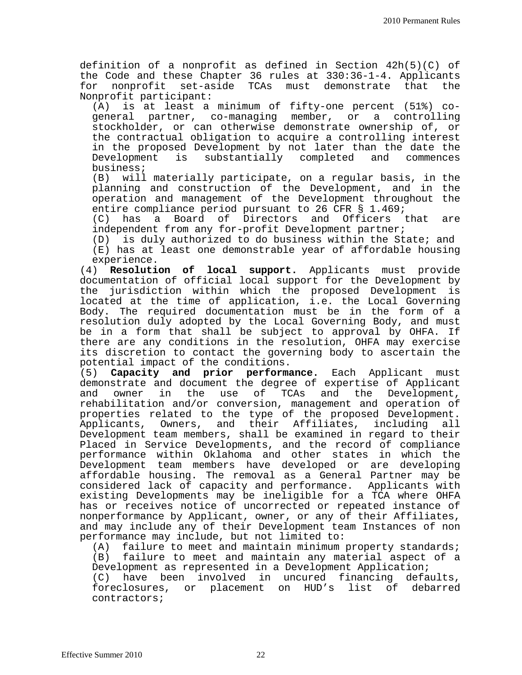definition of a nonprofit as defined in Section 42h(5)(C) of the Code and these Chapter 36 rules at 330:36-1-4. Applicants for nonprofit set-aside TCAs must demonstrate that the Nonprofit participant:<br>(A) is at least a

is at least a minimum of fifty-one percent (51%) cogeneral partner, co-managing member, or a controlling stockholder, or can otherwise demonstrate ownership of, or the contractual obligation to acquire a controlling interest in the proposed Development by not later than the date the<br>Development is substantially completed and commences is substantially completed business;

(B) will materially participate, on a regular basis, in the planning and construction of the Development, and in the operation and management of the Development throughout the entire compliance period pursuant to 26 CFR § 1.469;

(C) has a Board of Directors and Officers that are independent from any for-profit Development partner;

(D) is duly authorized to do business within the State; and (E) has at least one demonstrable year of affordable housing experience.

(4) **Resolution of local support.** Applicants must provide documentation of official local support for the Development by the jurisdiction within which the proposed Development is located at the time of application, i.e. the Local Governing Body. The required documentation must be in the form of a resolution duly adopted by the Local Governing Body, and must be in a form that shall be subject to approval by OHFA. If there are any conditions in the resolution, OHFA may exercise its discretion to contact the governing body to ascertain the

potential impact of the conditions.<br>(5) **Capacity and prior performa** (5) **Capacity and prior performance.** Each Applicant must demonstrate and document the degree of expertise of Applicant<br>and owner in the use of TCAs and the Development, the use of TCAs and rehabilitation and/or conversion, management and operation of properties related to the type of the proposed Development. Applicants, Owners, and their Affiliates, including all Development team members, shall be examined in regard to their Placed in Service Developments, and the record of compliance performance within Oklahoma and other states in which the Development team members have developed or are developing affordable housing. The removal as a General Partner may be considered lack of capacity and performance. Applicants with existing Developments may be ineligible for a TCA where OHFA has or receives notice of uncorrected or repeated instance of nonperformance by Applicant, owner, or any of their Affiliates, and may include any of their Development team Instances of non performance may include, but not limited to:

(A) failure to meet and maintain minimum property standards;<br>(B) failure to meet and maintain any material aspect of a failure to meet and maintain any material aspect of a Development as represented in a Development Application;

(C) have been involved in uncured financing defaults, foreclosures, or placement on HUD's list of debarred contractors;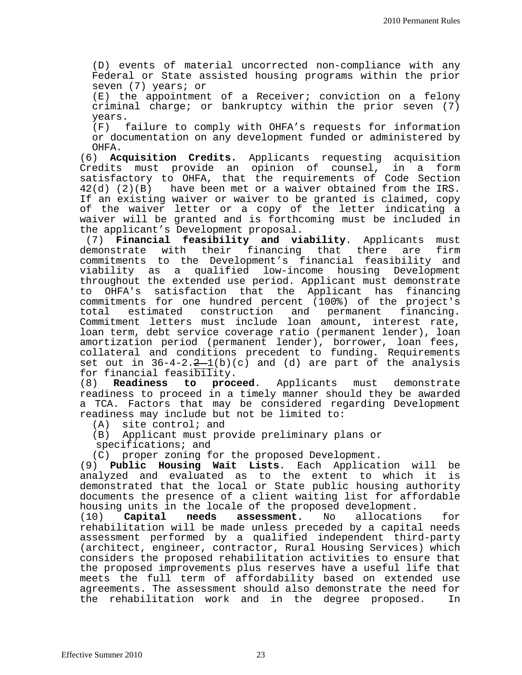(D) events of material uncorrected non-compliance with any Federal or State assisted housing programs within the prior seven (7) years; or

(E) the appointment of a Receiver; conviction on a felony criminal charge; or bankruptcy within the prior seven (7)

years.<br>(F) f failure to comply with OHFA's requests for information or documentation on any development funded or administered by

OHFA.<br>(6) Ac Acquisition Credits. Applicants requesting acquisition Credits must provide an opinion of counsel, in a form satisfactory to OHFA, that the requirements of Code Section  $42(d)$  (2)(B) have been met or a waiver obtained from the IRS. If an existing waiver or waiver to be granted is claimed, copy of the waiver letter or a copy of the letter indicating a waiver will be granted and is forthcoming must be included in the applicant's Development proposal.

(7) **Financial feasibility and viability**. Applicants must demonstrate with their financing that there are firm commitments to the Development's financial feasibility and viability as a qualified low-income housing Development throughout the extended use period. Applicant must demonstrate<br>to OHFA's satisfaction that the Applicant has financing OHFA's satisfaction that the Applicant has financing commitments for one hundred percent (100%) of the project's estimated construction and permanent Commitment letters must include loan amount, interest rate, loan term, debt service coverage ratio (permanent lender), loan amortization period (permanent lender), borrower, loan fees, collateral and conditions precedent to funding. Requirements set out in  $36-4-2.2-1(b)(c)$  and (d) are part of the analysis for financial feasibility.<br>(8) **Readiness to proc** 

proceed. Applicants must demonstrate readiness to proceed in a timely manner should they be awarded a TCA. Factors that may be considered regarding Development readiness may include but not be limited to:

(A) site control; and

(B) Applicant must provide preliminary plans or specifications; and

(C) proper zoning for the proposed Development.

(9) **Public Housing Wait Lists**. Each Application will be analyzed and evaluated as to the extent to which it is demonstrated that the local or State public housing authority documents the presence of a client waiting list for affordable housing units in the locale of the proposed development.<br>(10) **Capital needs assessment.** No allocations

**assessment.** No allocations for rehabilitation will be made unless preceded by a capital needs assessment performed by a qualified independent third-party (architect, engineer, contractor, Rural Housing Services) which considers the proposed rehabilitation activities to ensure that the proposed improvements plus reserves have a useful life that meets the full term of affordability based on extended use agreements. The assessment should also demonstrate the need for<br>the rehabilitation work and in the degree proposed. In the rehabilitation work and in the degree proposed.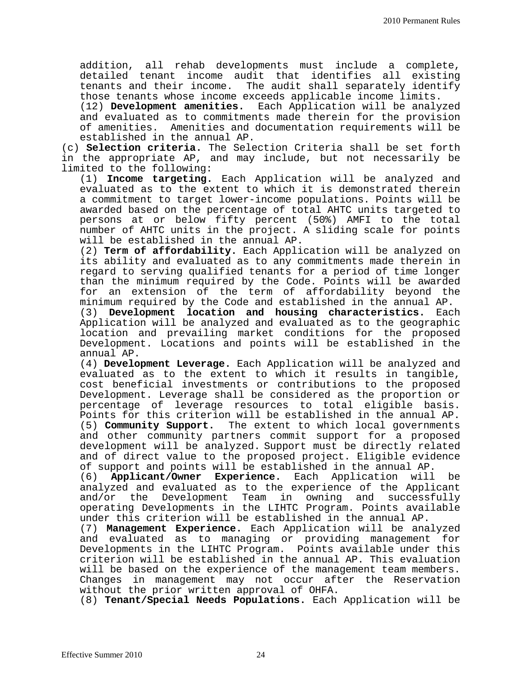addition, all rehab developments must include a complete, detailed tenant income audit that identifies all existing tenants and their income. The audit shall separately identify those tenants whose income exceeds applicable income limits.

(12) **Development amenities.** Each Application will be analyzed and evaluated as to commitments made therein for the provision of amenities. Amenities and documentation requirements will be established in the annual AP.

(c) **Selection criteria.** The Selection Criteria shall be set forth in the appropriate AP, and may include, but not necessarily be limited to the following:

(1) **Income targeting.** Each Application will be analyzed and evaluated as to the extent to which it is demonstrated therein a commitment to target lower-income populations. Points will be awarded based on the percentage of total AHTC units targeted to persons at or below fifty percent (50%) AMFI to the total number of AHTC units in the project. A sliding scale for points will be established in the annual AP.

(2) **Term of affordability.** Each Application will be analyzed on its ability and evaluated as to any commitments made therein in regard to serving qualified tenants for a period of time longer than the minimum required by the Code. Points will be awarded for an extension of the term of affordability beyond the minimum required by the Code and established in the annual AP.

(3) **Development location and housing characteristics.** Each Application will be analyzed and evaluated as to the geographic location and prevailing market conditions for the proposed Development. Locations and points will be established in the annual AP.

(4) **Development Leverage.** Each Application will be analyzed and evaluated as to the extent to which it results in tangible, cost beneficial investments or contributions to the proposed Development. Leverage shall be considered as the proportion or percentage of leverage resources to total eligible basis. Points for this criterion will be established in the annual AP. (5) **Community Support.** The extent to which local governments and other community partners commit support for a proposed development will be analyzed. Support must be directly related and of direct value to the proposed project. Eligible evidence

of support and points will be established in the annual AP.<br>(6) **Applicant/Owner Experience.** Each Application will (6) **Applicant/Owner Experience.** Each Application will be analyzed and evaluated as to the experience of the Applicant and/or the Development Team in owning and successfully operating Developments in the LIHTC Program. Points available under this criterion will be established in the annual AP.

(7) **Management Experience.** Each Application will be analyzed and evaluated as to managing or providing management for Developments in the LIHTC Program. Points available under this criterion will be established in the annual AP. This evaluation will be based on the experience of the management team members. Changes in management may not occur after the Reservation without the prior written approval of OHFA.

(8) **Tenant/Special Needs Populations.** Each Application will be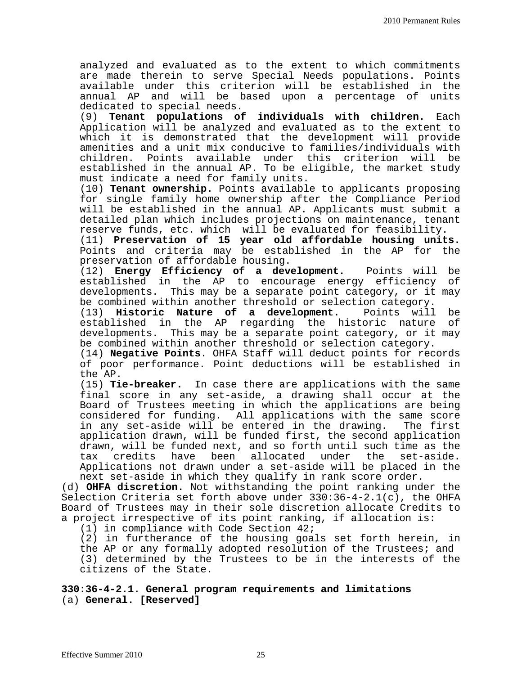analyzed and evaluated as to the extent to which commitments are made therein to serve Special Needs populations. Points available under this criterion will be established in the annual AP and will be based upon a percentage of units dedicated to special needs.

(9) **Tenant populations of individuals with children.** Each Application will be analyzed and evaluated as to the extent to which it is demonstrated that the development will provide amenities and a unit mix conducive to families/individuals with Points available under this criterion will established in the annual AP. To be eligible, the market study must indicate a need for family units.

(10) **Tenant ownership.** Points available to applicants proposing for single family home ownership after the Compliance Period will be established in the annual AP. Applicants must submit a detailed plan which includes projections on maintenance, tenant reserve funds, etc. which will be evaluated for feasibility.

(11) **Preservation of 15 year old affordable housing units.** Points and criteria may be established in the AP for the preservation of affordable housing.

(12) **Energy Efficiency of a development.** Points will be established in the AP to encourage energy efficiency developments. This may be a separate point category, or it may be combined within another threshold or selection category.<br>(13) **Historic Nature of a development.** Points will

(13) **Historic Nature of a development.** Points will be established in the AP regarding the historic nature developments. This may be a separate point category, or it may be combined within another threshold or selection category.

(14) **Negative Points**. OHFA Staff will deduct points for records of poor performance. Point deductions will be established in the AP.

(15) **Tie-breaker.** In case there are applications with the same final score in any set-aside, a drawing shall occur at the Board of Trustees meeting in which the applications are being considered for funding. All applications with the same score<br>in any set-aside will be entered in the drawing. The first in any set-aside will be entered in the drawing. application drawn, will be funded first, the second application drawn, will be funded next, and so forth until such time as the<br>tax credits have been allocated under the set-aside. credits have been allocated under the set-aside. Applications not drawn under a set-aside will be placed in the next set-aside in which they qualify in rank score order.

(d) **OHFA discretion.** Not withstanding the point ranking under the Selection Criteria set forth above under  $330:36-4-2.1(c)$ , the OHFA Board of Trustees may in their sole discretion allocate Credits to a project irrespective of its point ranking, if allocation is:

(1) in compliance with Code Section 42;

(2) in furtherance of the housing goals set forth herein, in the AP or any formally adopted resolution of the Trustees; and (3) determined by the Trustees to be in the interests of the citizens of the State.

**330:36-4-2.1. General program requirements and limitations** (a) **General. [Reserved]**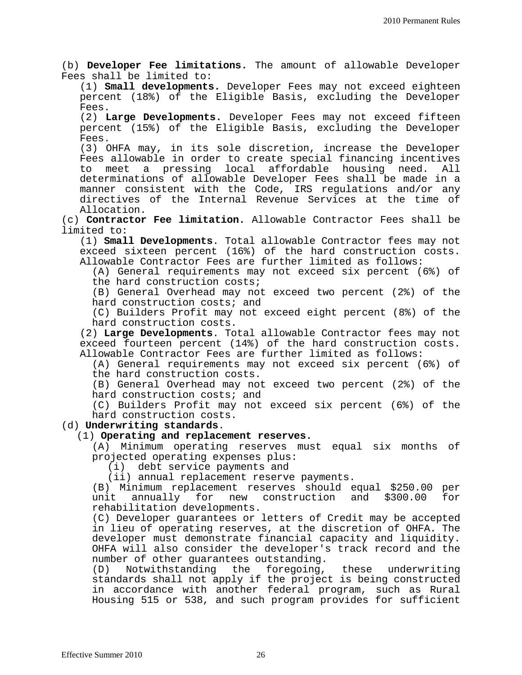(b) **Developer Fee limitations.** The amount of allowable Developer Fees shall be limited to:

(1) **Small developments.** Developer Fees may not exceed eighteen percent (18%) of the Eligible Basis, excluding the Developer Fees.

(2) **Large Developments.** Developer Fees may not exceed fifteen percent (15%) of the Eligible Basis, excluding the Developer Fees.

(3) OHFA may, in its sole discretion, increase the Developer Fees allowable in order to create special financing incentives to meet a pressing local affordable housing need. All determinations of allowable Developer Fees shall be made in a manner consistent with the Code, IRS regulations and/or any directives of the Internal Revenue Services at the time of Allocation.

(c) **Contractor Fee limitation.** Allowable Contractor Fees shall be limited to:

(1) **Small Developments**. Total allowable Contractor fees may not exceed sixteen percent (16%) of the hard construction costs. Allowable Contractor Fees are further limited as follows:

(A) General requirements may not exceed six percent (6%) of the hard construction costs;

(B) General Overhead may not exceed two percent (2%) of the hard construction costs; and

(C) Builders Profit may not exceed eight percent (8%) of the hard construction costs.

(2) **Large Developments**. Total allowable Contractor fees may not exceed fourteen percent (14%) of the hard construction costs. Allowable Contractor Fees are further limited as follows:

(A) General requirements may not exceed six percent (6%) of the hard construction costs.

(B) General Overhead may not exceed two percent (2%) of the hard construction costs; and

(C) Builders Profit may not exceed six percent (6%) of the hard construction costs.

#### (d) **Underwriting standards**.

#### (1) **Operating and replacement reserves.**

(A) Minimum operating reserves must equal six months of projected operating expenses plus:

(i) debt service payments and

(ii) annual replacement reserve payments.

(B) Minimum replacement reserves should equal \$250.00 per unit annually for new rehabilitation developments.

(C) Developer guarantees or letters of Credit may be accepted in lieu of operating reserves, at the discretion of OHFA. The developer must demonstrate financial capacity and liquidity. OHFA will also consider the developer's track record and the

number of other guarantees outstanding.<br>(D) Notwithstanding the foregoing, Notwithstanding the foregoing, these underwriting standards shall not apply if the project is being constructed in accordance with another federal program, such as Rural Housing 515 or 538, and such program provides for sufficient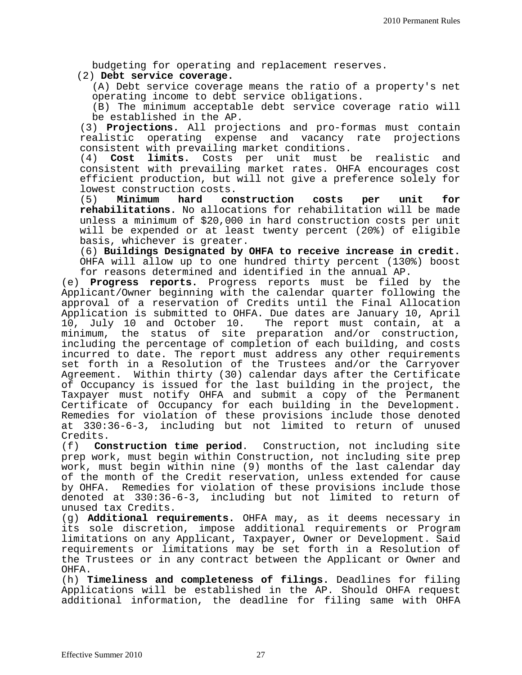budgeting for operating and replacement reserves.

#### (2) **Debt service coverage.**

(A) Debt service coverage means the ratio of a property's net operating income to debt service obligations.

(B) The minimum acceptable debt service coverage ratio will be established in the AP.

(3) **Projections.** All projections and pro-formas must contain realistic operating expense and vacancy rate projections consistent with prevailing market conditions.<br>(4) **Cost limits.** Costs per unit must ]

Cost limits. Costs per unit must be realistic and consistent with prevailing market rates. OHFA encourages cost efficient production, but will not give a preference solely for lowest construction costs.<br>(5) **Minimum hard construction** 

(5) **Minimum hard construction costs per unit for rehabilitations.** No allocations for rehabilitation will be made unless a minimum of \$20,000 in hard construction costs per unit will be expended or at least twenty percent (20%) of eligible basis, whichever is greater.

(6) **Buildings Designated by OHFA to receive increase in credit.**  OHFA will allow up to one hundred thirty percent (130%) boost for reasons determined and identified in the annual AP.

(e) Progress reports. Progress reports must be filed by the Applicant/Owner beginning with the calendar quarter following the approval of a reservation of Credits until the Final Allocation Application is submitted to OHFA. Due dates are January 10, April 10, July 10 and October 10. The report must contain, at a minimum, the status of site preparation and/or construction, including the percentage of completion of each building, and costs incurred to date. The report must address any other requirements set forth in a Resolution of the Trustees and/or the Carryover Agreement. Within thirty (30) calendar days after the Certificate of Occupancy is issued for the last building in the project, the Taxpayer must notify OHFA and submit a copy of the Permanent Certificate of Occupancy for each building in the Development. Remedies for violation of these provisions include those denoted at 330:36-6-3, including but not limited to return of unused

Credits.<br>(f) Cor (f) **Construction time period**. Construction, not including site prep work, must begin within Construction, not including site prep work, must begin within nine (9) months of the last calendar day of the month of the Credit reservation, unless extended for cause by OHFA. Remedies for violation of these provisions include those denoted at 330:36-6-3, including but not limited to return of unused tax Credits.

(g) **Additional requirements.** OHFA may, as it deems necessary in its sole discretion, impose additional requirements or Program limitations on any Applicant, Taxpayer, Owner or Development. Said requirements or limitations may be set forth in a Resolution of the Trustees or in any contract between the Applicant or Owner and OHFA.

(h) **Timeliness and completeness of filings.** Deadlines for filing Applications will be established in the AP. Should OHFA request additional information, the deadline for filing same with OHFA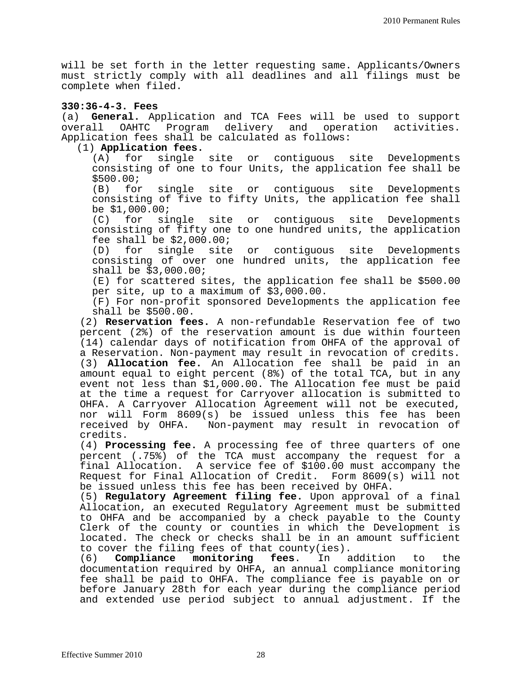will be set forth in the letter requesting same. Applicants/Owners must strictly comply with all deadlines and all filings must be complete when filed.

**330:36-4-3. Fees**  (a) **General.** Application and TCA Fees will be used to support Program delivery and operation activities. Application fees shall be calculated as follows:

## (1) **Application fees.**

single site or contiguous site Developments consisting of one to four Units, the application fee shall be \$500.00;<br>(B) for

single site or contiguous site Developments consisting of five to fifty Units, the application fee shall be \$1,000.00;<br>(C) for si

single site or contiguous site Developments consisting of fifty one to one hundred units, the application fee shall be \$2,000.00;<br>(D) for single site

for single site or contiguous site Developments consisting of over one hundred units, the application fee shall be \$3,000.00;

(E) for scattered sites, the application fee shall be \$500.00 per site, up to a maximum of \$3,000.00.

(F) For non-profit sponsored Developments the application fee shall be \$500.00.

(2) **Reservation fees.** A non-refundable Reservation fee of two percent (2%) of the reservation amount is due within fourteen (14) calendar days of notification from OHFA of the approval of a Reservation. Non-payment may result in revocation of credits. (3) **Allocation fee.** An Allocation fee shall be paid in an amount equal to eight percent (8%) of the total TCA, but in any event not less than \$1,000.00. The Allocation fee must be paid at the time a request for Carryover allocation is submitted to OHFA. A Carryover Allocation Agreement will not be executed, nor will Form 8609(s) be issued unless this fee has been Non-payment may result in revocation of credits.

(4) **Processing fee.** A processing fee of three quarters of one percent (.75%) of the TCA must accompany the request for a final Allocation. A service fee of \$100.00 must accompany the Request for Final Allocation of Credit. Form 8609(s) will not be issued unless this fee has been received by OHFA.

(5) **Regulatory Agreement filing fee.** Upon approval of a final Allocation, an executed Regulatory Agreement must be submitted to OHFA and be accompanied by a check payable to the County Clerk of the county or counties in which the Development is located. The check or checks shall be in an amount sufficient to cover the filing fees of that county(ies).<br>(6) **Compliance monitoring fees**. In addition

(6) **Compliance monitoring fees**. In addition to the documentation required by OHFA, an annual compliance monitoring fee shall be paid to OHFA. The compliance fee is payable on or before January 28th for each year during the compliance period and extended use period subject to annual adjustment. If the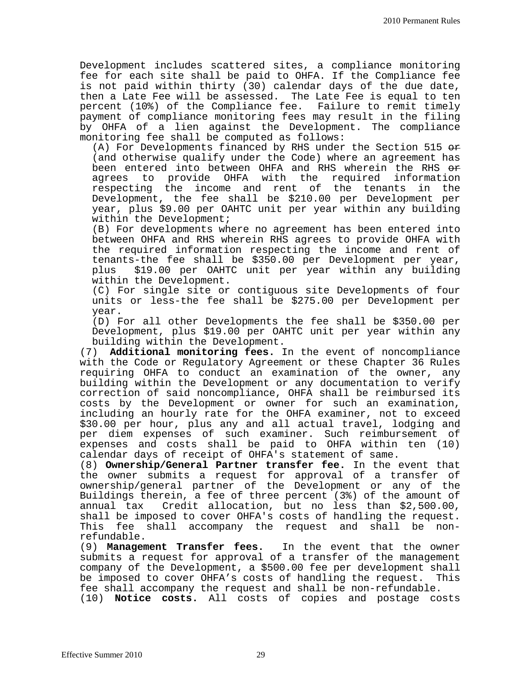Development includes scattered sites, a compliance monitoring fee for each site shall be paid to OHFA. If the Compliance fee is not paid within thirty (30) calendar days of the due date, then a Late Fee will be assessed. The Late Fee is equal to ten percent (10%) of the Compliance fee. Failure to remit timely payment of compliance monitoring fees may result in the filing by OHFA of a lien against the Development. The compliance monitoring fee shall be computed as follows:

(A) For Developments financed by RHS under the Section 515  $e$ (and otherwise qualify under the Code) where an agreement has been entered into between OHFA and RHS wherein the RHS <del>or</del><br>agrees to provide OHFA with the required information to provide OHFA with the required information<br>ing the income and rent of the tenants in the respecting the income and rent of the tenants in the Development, the fee shall be \$210.00 per Development per year, plus \$9.00 per OAHTC unit per year within any building within the Development;

(B) For developments where no agreement has been entered into between OHFA and RHS wherein RHS agrees to provide OHFA with the required information respecting the income and rent of tenants-the fee shall be \$350.00 per Development per year,<br>plus \$19.00 per OAHTC unit per year within any building \$19.00 per OAHTC unit per year within any building within the Development.

(C) For single site or contiguous site Developments of four units or less-the fee shall be \$275.00 per Development per year.

(D) For all other Developments the fee shall be \$350.00 per Development, plus \$19.00 per OAHTC unit per year within any building within the Development.

(7) **Additional monitoring fees.** In the event of noncompliance with the Code or Regulatory Agreement or these Chapter 36 Rules requiring OHFA to conduct an examination of the owner, any building within the Development or any documentation to verify correction of said noncompliance, OHFA shall be reimbursed its costs by the Development or owner for such an examination, including an hourly rate for the OHFA examiner, not to exceed \$30.00 per hour, plus any and all actual travel, lodging and per diem expenses of such examiner. Such reimbursement of expenses and costs shall be paid to OHFA within ten (10) calendar days of receipt of OHFA's statement of same.

(8) **Ownership/General Partner transfer fee.** In the event that the owner submits a request for approval of a transfer of ownership/general partner of the Development or any of the Buildings therein, a fee of three percent (3%) of the amount of annual tax Credit allocation, but no less than \$2,500.00, shall be imposed to cover OHFA's costs of handling the request. This fee shall accompany the request and shall be nonrefundable.

(9) **Management Transfer fees.** In the event that the owner submits a request for approval of a transfer of the management company of the Development, a \$500.00 fee per development shall be imposed to cover OHFA's costs of handling the request. This<br>fee shall accompany the request and shall be non-refundable. (10) **Notice costs.** All costs of copies and postage costs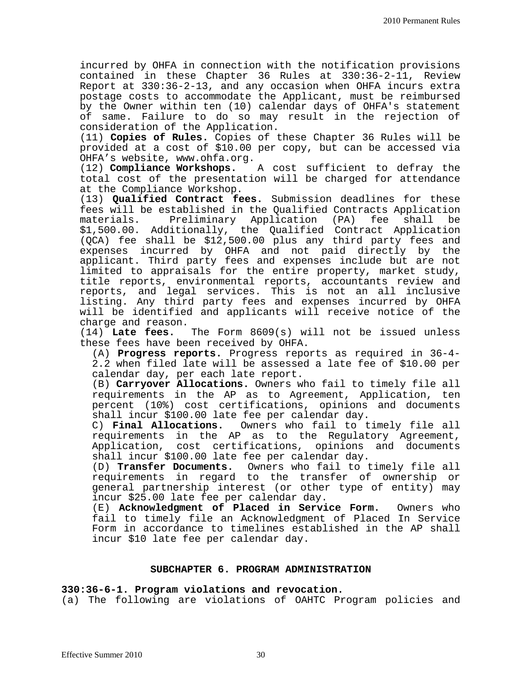incurred by OHFA in connection with the notification provisions contained in these Chapter 36 Rules at 330:36-2-11, Review Report at 330:36-2-13, and any occasion when OHFA incurs extra postage costs to accommodate the Applicant, must be reimbursed by the Owner within ten (10) calendar days of OHFA's statement of same. Failure to do so may result in the rejection of consideration of the Application.

(11) **Copies of Rules.** Copies of these Chapter 36 Rules will be provided at a cost of \$10.00 per copy, but can be accessed via OHFA's website, www.ohfa.org.<br>(12) **Compliance Workshops.** 

A cost sufficient to defray the total cost of the presentation will be charged for attendance at the Compliance Workshop.

(13) **Qualified Contract fees.** Submission deadlines for these fees will be established in the Qualified Contracts Application materials. Preliminary Application (PA) fee shall be \$1,500.00. Additionally, the Qualified Contract Application (QCA) fee shall be \$12,500.00 plus any third party fees and expenses incurred by OHFA and not paid directly by the applicant. Third party fees and expenses include but are not limited to appraisals for the entire property, market study, title reports, environmental reports, accountants review and reports, and legal services. This is not an all inclusive listing. Any third party fees and expenses incurred by OHFA will be identified and applicants will receive notice of the

charge and reason.<br>(14) Late fees. The Form 8609(s) will not be issued unless these fees have been received by OHFA.

(A) **Progress reports.** Progress reports as required in 36-4- 2.2 when filed late will be assessed a late fee of \$10.00 per calendar day, per each late report.

(B) **Carryover Allocations.** Owners who fail to timely file all requirements in the AP as to Agreement, Application, ten percent (10%) cost certifications, opinions and documents shall incur \$100.00 late fee per calendar day.<br>C) **Final Allocations.** Owners who fail to t

Owners who fail to timely file all requirements in the AP as to the Regulatory Agreement, Application, cost certifications, opinions and documents shall incur \$100.00 late fee per calendar day.

(D) **Transfer Documents.** Owners who fail to timely file all requirements in regard to the transfer of ownership or general partnership interest (or other type of entity) may incur \$25.00 late fee per calendar day.

(E) **Acknowledgment of Placed in Service Form.** Owners who fail to timely file an Acknowledgment of Placed In Service Form in accordance to timelines established in the AP shall incur \$10 late fee per calendar day.

#### **SUBCHAPTER 6. PROGRAM ADMINISTRATION**

#### **330:36-6-1. Program violations and revocation.**

(a) The following are violations of OAHTC Program policies and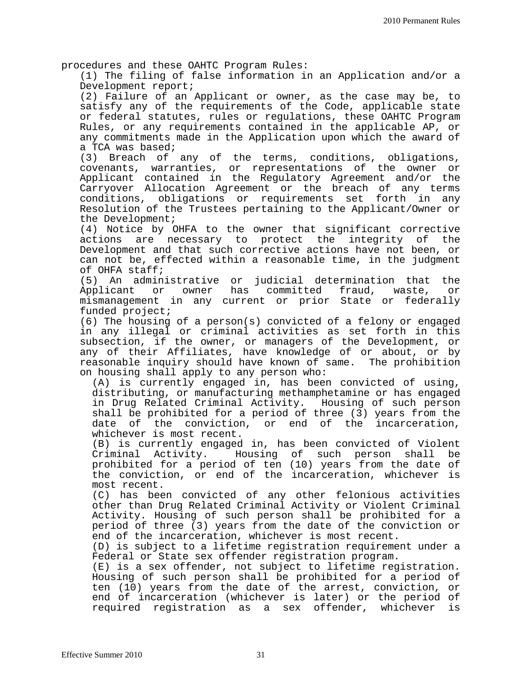procedures and these OAHTC Program Rules:

(1) The filing of false information in an Application and/or a Development report;

(2) Failure of an Applicant or owner, as the case may be, to satisfy any of the requirements of the Code, applicable state or federal statutes, rules or regulations, these OAHTC Program Rules, or any requirements contained in the applicable AP, or any commitments made in the Application upon which the award of a TCA was based;

(3) Breach of any of the terms, conditions, obligations,<br>covenants, warranties, or representations of the owner or covenants, warranties, or representations of the owner Applicant contained in the Regulatory Agreement and/or the Carryover Allocation Agreement or the breach of any terms conditions, obligations or requirements set forth in any Resolution of the Trustees pertaining to the Applicant/Owner or the Development;

(4) Notice by OHFA to the owner that significant corrective actions are necessary to protect the integrity of the Development and that such corrective actions have not been, or can not be, effected within a reasonable time, in the judgment of OHFA staff;

(5) An administrative or judicial determination that the Applicant or owner has committed fraud, waste, mismanagement in any current or prior State or federally funded project;

(6) The housing of a person(s) convicted of a felony or engaged in any illegal or criminal activities as set forth in this subsection, if the owner, or managers of the Development, or any of their Affiliates, have knowledge of or about, or by reasonable inquiry should have known of same. The prohibition on housing shall apply to any person who:

(A) is currently engaged in, has been convicted of using, distributing, or manufacturing methamphetamine or has engaged in Drug Related Criminal Activity. Housing of such person shall be prohibited for a period of three  $(3)$  years from the date of the conviction, or end of the incarceration, of the conviction, or end of the incarceration, whichever is most recent.

(B) is currently engaged in, has been convicted of Violent Housing of such person shall be prohibited for a period of ten (10) years from the date of the conviction, or end of the incarceration, whichever is most recent.

(C) has been convicted of any other felonious activities other than Drug Related Criminal Activity or Violent Criminal Activity. Housing of such person shall be prohibited for a period of three (3) years from the date of the conviction or end of the incarceration, whichever is most recent.

(D) is subject to a lifetime registration requirement under a Federal or State sex offender registration program.

(E) is a sex offender, not subject to lifetime registration. Housing of such person shall be prohibited for a period of ten (10) years from the date of the arrest, conviction, or end of incarceration (whichever is later) or the period of required registration as a sex offender, whichever is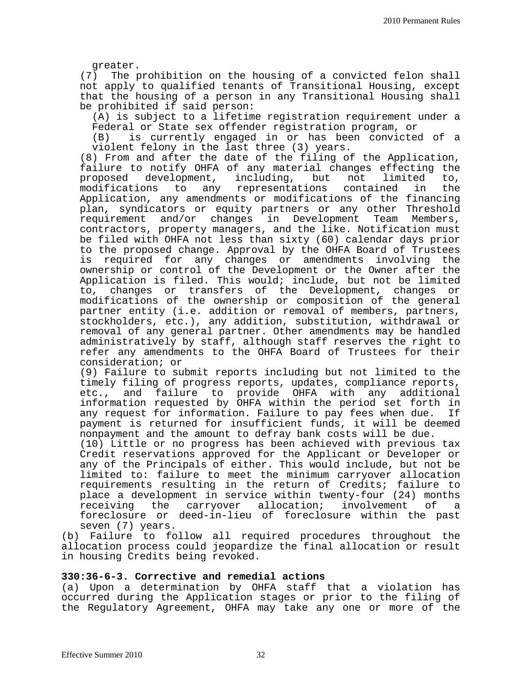greater.<br>The p (7) The prohibition on the housing of a convicted felon shall not apply to qualified tenants of Transitional Housing, except that the housing of a person in any Transitional Housing shall be prohibited if said person:

(A) is subject to a lifetime registration requirement under a Federal or State sex offender registration program, or

is currently engaged in or has been convicted of a violent felony in the last three (3) years.

(8) From and after the date of the filing of the Application, failure to notify OHFA of any material changes effecting the<br>proposed development, including, but not limited to, proposed development, including, but not limited to, modifications to any representations contained in the Application, any amendments or modifications of the financing plan, syndicators or equity partners or any other Threshold requirement and/or changes in Development Team Members, contractors, property managers, and the like. Notification must be filed with OHFA not less than sixty (60) calendar days prior to the proposed change. Approval by the OHFA Board of Trustees<br>is required for any changes or amendments involving the required for any changes or amendments involving the ownership or control of the Development or the Owner after the Application is filed. This would; include, but not be limited to, changes or transfers of the Development, changes or modifications of the ownership or composition of the general partner entity (i.e. addition or removal of members, partners, stockholders, etc.), any addition, substitution, withdrawal or removal of any general partner. Other amendments may be handled administratively by staff, although staff reserves the right to refer any amendments to the OHFA Board of Trustees for their consideration; or

(9) Failure to submit reports including but not limited to the timely filing of progress reports, updates, compliance reports,<br>etc., and failure to provide OHFA with any additional and failure to provide OHFA with any additional information requested by OHFA within the period set forth in any request for information. Failure to pay fees when due. payment is returned for insufficient funds, it will be deemed<br>nonpayment and the amount to defray bank costs will be due.

(10) Little or no progress has been achieved with previous tax Credit reservations approved for the Applicant or Developer or any of the Principals of either. This would include, but not be limited to: failure to meet the minimum carryover allocation requirements resulting in the return of Credits; failure to place a development in service within twenty-four (24) months<br>receiving the carryover allocation; involvement of a carryover allocation; foreclosure or deed-in-lieu of foreclosure within the past seven (7) years.

(b) Failure to follow all required procedures throughout the allocation process could jeopardize the final allocation or result in housing Credits being revoked.

#### **330:36-6-3. Corrective and remedial actions**

(a) Upon a determination by OHFA staff that a violation has occurred during the Application stages or prior to the filing of the Regulatory Agreement, OHFA may take any one or more of the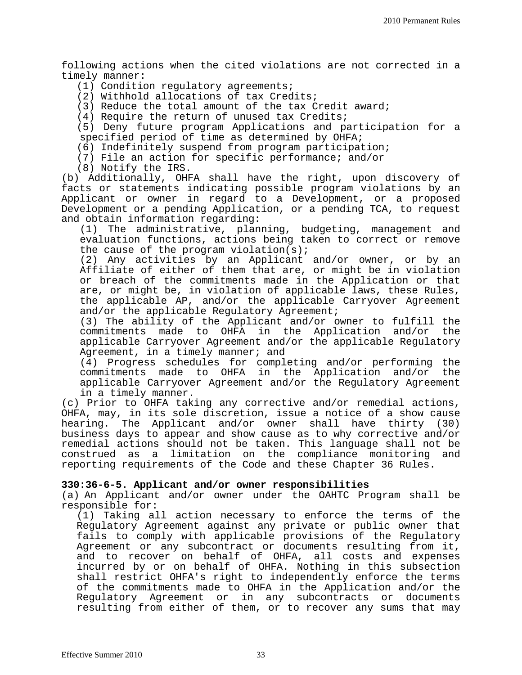following actions when the cited violations are not corrected in a timely manner:

(1) Condition regulatory agreements;

(2) Withhold allocations of tax Credits;

(3) Reduce the total amount of the tax Credit award;

(4) Require the return of unused tax Credits;

(5) Deny future program Applications and participation for a specified period of time as determined by OHFA;

(6) Indefinitely suspend from program participation;

(7) File an action for specific performance; and/or

(8) Notify the IRS.

(b) Additionally, OHFA shall have the right, upon discovery of facts or statements indicating possible program violations by an Applicant or owner in regard to a Development, or a proposed Development or a pending Application, or a pending TCA, to request and obtain information regarding:

(1) The administrative, planning, budgeting, management and evaluation functions, actions being taken to correct or remove the cause of the program violation(s);

(2) Any activities by an Applicant and/or owner, or by an Affiliate of either of them that are, or might be in violation or breach of the commitments made in the Application or that are, or might be, in violation of applicable laws, these Rules, the applicable AP, and/or the applicable Carryover Agreement and/or the applicable Regulatory Agreement;

(3) The ability of the Applicant and/or owner to fulfill the commitments made to OHFA in the Application and/or the applicable Carryover Agreement and/or the applicable Regulatory Agreement, in a timely manner; and

(4) Progress schedules for completing and/or performing the commitments made to OHFA in the Application and/or the applicable Carryover Agreement and/or the Regulatory Agreement in a timely manner.

(c) Prior to OHFA taking any corrective and/or remedial actions, OHFA, may, in its sole discretion, issue a notice of a show cause hearing. The Applicant and/or owner shall have thirty (30) business days to appear and show cause as to why corrective and/or remedial actions should not be taken. This language shall not be construed as a limitation on the compliance monitoring and reporting requirements of the Code and these Chapter 36 Rules.

#### **330:36-6-5. Applicant and/or owner responsibilities**

(a) An Applicant and/or owner under the OAHTC Program shall be responsible for:

(1) Taking all action necessary to enforce the terms of the Regulatory Agreement against any private or public owner that fails to comply with applicable provisions of the Regulatory Agreement or any subcontract or documents resulting from it, and to recover on behalf of OHFA, all costs and expenses incurred by or on behalf of OHFA. Nothing in this subsection shall restrict OHFA's right to independently enforce the terms of the commitments made to OHFA in the Application and/or the Regulatory Agreement or in any subcontracts or documents resulting from either of them, or to recover any sums that may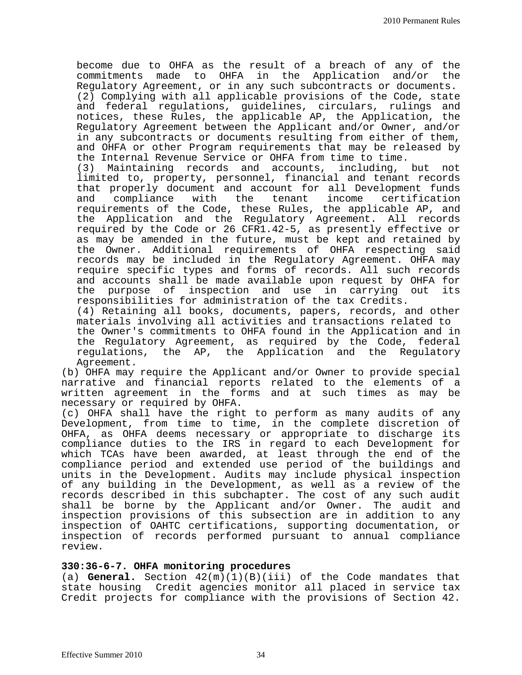become due to OHFA as the result of a breach of any of the commitments made to OHFA in the Application and/or the commitments made to OHFA in the Application and/or Regulatory Agreement, or in any such subcontracts or documents.

(2) Complying with all applicable provisions of the Code, state and federal regulations, guidelines, circulars, rulings and notices, these Rules, the applicable AP, the Application, the Regulatory Agreement between the Applicant and/or Owner, and/or in any subcontracts or documents resulting from either of them, and OHFA or other Program requirements that may be released by the Internal Revenue Service or OHFA from time to time.<br>(3) Maintaining records and accounts, including,

(3) Maintaining records and accounts, including, but not limited to, property, personnel, financial and tenant records that properly document and account for all Development funds<br>and compliance with the tenant income certification certification requirements of the Code, these Rules, the applicable AP, and the Application and the Regulatory Agreement. All records required by the Code or 26 CFR1.42-5, as presently effective or as may be amended in the future, must be kept and retained by the Owner. Additional requirements of OHFA respecting said records may be included in the Regulatory Agreement. OHFA may require specific types and forms of records. All such records and accounts shall be made available upon request by OHFA for the purpose of inspection and use in carrying out its responsibilities for administration of the tax Credits.

(4) Retaining all books, documents, papers, records, and other materials involving all activities and transactions related to the Owner's commitments to OHFA found in the Application and in the Regulatory Agreement, as required by the Code, federal regulations, the AP, the Application and the Regulatory Agreement.

(b) OHFA may require the Applicant and/or Owner to provide special narrative and financial reports related to the elements of a written agreement in the forms and at such times as may be necessary or required by OHFA.

(c) OHFA shall have the right to perform as many audits of any Development, from time to time, in the complete discretion of OHFA, as OHFA deems necessary or appropriate to discharge its compliance duties to the IRS in regard to each Development for which TCAs have been awarded, at least through the end of the compliance period and extended use period of the buildings and units in the Development. Audits may include physical inspection of any building in the Development, as well as a review of the records described in this subchapter. The cost of any such audit shall be borne by the Applicant and/or Owner. The audit and inspection provisions of this subsection are in addition to any inspection of OAHTC certifications, supporting documentation, or inspection of records performed pursuant to annual compliance review.

#### **330:36-6-7. OHFA monitoring procedures**

(a) **General.** Section 42(m)(1)(B)(iii) of the Code mandates that state housing Credit agencies monitor all placed in service tax Credit projects for compliance with the provisions of Section 42.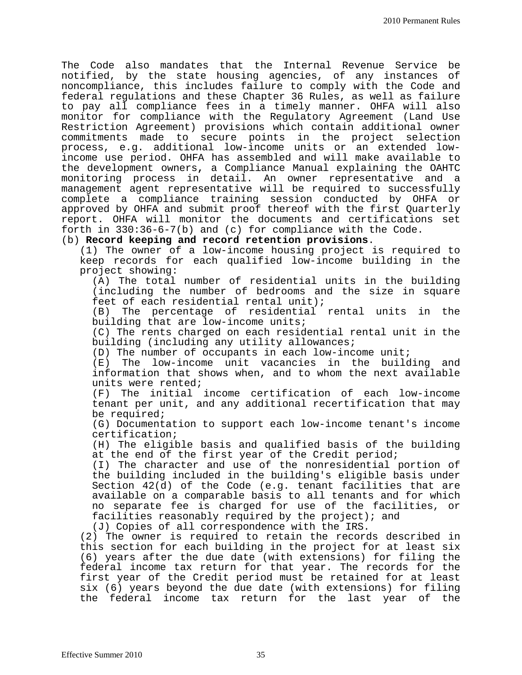The Code also mandates that the Internal Revenue Service be notified, by the state housing agencies, of any instances of noncompliance, this includes failure to comply with the Code and federal regulations and these Chapter 36 Rules, as well as failure to pay all compliance fees in a timely manner. OHFA will also monitor for compliance with the Regulatory Agreement (Land Use Restriction Agreement) provisions which contain additional owner commitments made to secure points in the project selection process, e.g. additional low-income units or an extended lowincome use period. OHFA has assembled and will make available to the development owners**,** a Compliance Manual explaining the OAHTC monitoring process in detail. An owner representative and a management agent representative will be required to successfully complete a compliance training session conducted by OHFA or approved by OHFA and submit proof thereof with the first Quarterly report. OHFA will monitor the documents and certifications set forth in 330:36-6-7(b) and (c) for compliance with the Code.

#### (b) **Record keeping and record retention provisions**.

(1) The owner of a low-income housing project is required to keep records for each qualified low-income building in the project showing:

(A) The total number of residential units in the building (including the number of bedrooms and the size in square feet of each residential rental unit);

(B) The percentage of residential rental units in the building that are low-income units;

(C) The rents charged on each residential rental unit in the building (including any utility allowances;

 $(D)$  The number of occupants in each low-income unit;

(E) The low-income unit vacancies in the building and information that shows when, and to whom the next available units were rented;

(F) The initial income certification of each low-income tenant per unit, and any additional recertification that may be required;

(G) Documentation to support each low-income tenant's income certification;

(H) The eligible basis and qualified basis of the building at the end of the first year of the Credit period;

(I) The character and use of the nonresidential portion of the building included in the building's eligible basis under Section 42(d) of the Code (e.g. tenant facilities that are available on a comparable basis to all tenants and for which no separate fee is charged for use of the facilities, or facilities reasonably required by the project); and

(J) Copies of all correspondence with the IRS.

(2) The owner is required to retain the records described in this section for each building in the project for at least six (6) years after the due date (with extensions) for filing the federal income tax return for that year. The records for the first year of the Credit period must be retained for at least six (6) years beyond the due date (with extensions) for filing the federal income tax return for the last year of the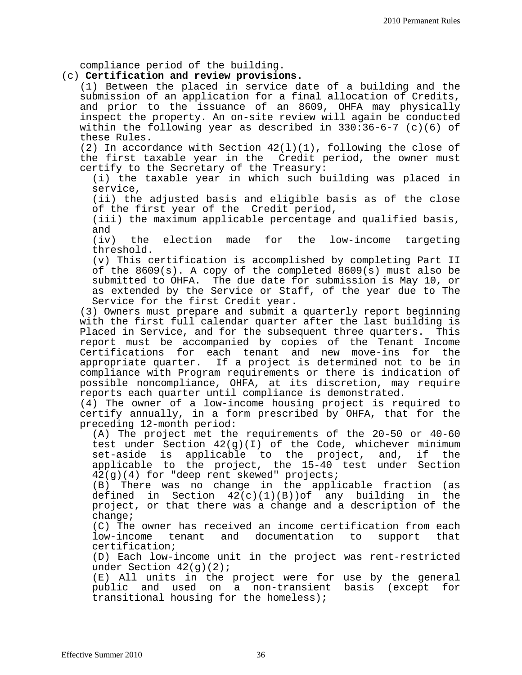compliance period of the building.

#### (c) **Certification and review provisions.**

(1) Between the placed in service date of a building and the submission of an application for a final allocation of Credits, and prior to the issuance of an 8609, OHFA may physically inspect the property. An on-site review will again be conducted within the following year as described in  $330:36-6-7$  (c)(6) of these Rules.

(2) In accordance with Section  $42(1)(1)$ , following the close of the first taxable year in the Credit period, the owner must certify to the Secretary of the Treasury:

(i) the taxable year in which such building was placed in service,

(ii) the adjusted basis and eligible basis as of the close of the first year of the Credit period,

(iii) the maximum applicable percentage and qualified basis, and<br>(iv)

the election made for the low-income targeting threshold.

(v) This certification is accomplished by completing Part II of the 8609(s). A copy of the completed 8609(s) must also be submitted to OHFA. The due date for submission is May 10, or as extended by the Service or Staff, of the year due to The Service for the first Credit year.

(3) Owners must prepare and submit a quarterly report beginning with the first full calendar quarter after the last building is<br>Placed in Service, and for the subsequent three quarters. This Placed in Service, and for the subsequent three quarters. report must be accompanied by copies of the Tenant Income Certifications for each tenant and new move-ins for the appropriate quarter. If a project is determined not to be in compliance with Program requirements or there is indication of possible noncompliance, OHFA, at its discretion, may require reports each quarter until compliance is demonstrated.

(4) The owner of a low-income housing project is required to certify annually, in a form prescribed by OHFA, that for the preceding 12-month period:

(A) The project met the requirements of the 20-50 or 40-60 test under Section 42(g)(I) of the Code, whichever minimum<br>set-aside is applicable to the project, and, if the applicable to the project, and, applicable to the project, the 15-40 test under Section 42(g)(4) for "deep rent skewed" projects;<br>(B) There was no change in the appli

(B) There was no change in the applicable fraction (as defined in Section  $42(c)(1)(B))$  of any building in the  $42(c)(1)(B))$ of any building project, or that there was a change and a description of the change;

(C) The owner has received an income certification from each<br>low-income tenant and documentation to support that tenant and documentation certification;

(D) Each low-income unit in the project was rent-restricted under Section  $42(g)(2)$ ;

(E) All units in the project were for use by the general public and used on a non-transient basis (except for transitional housing for the homeless);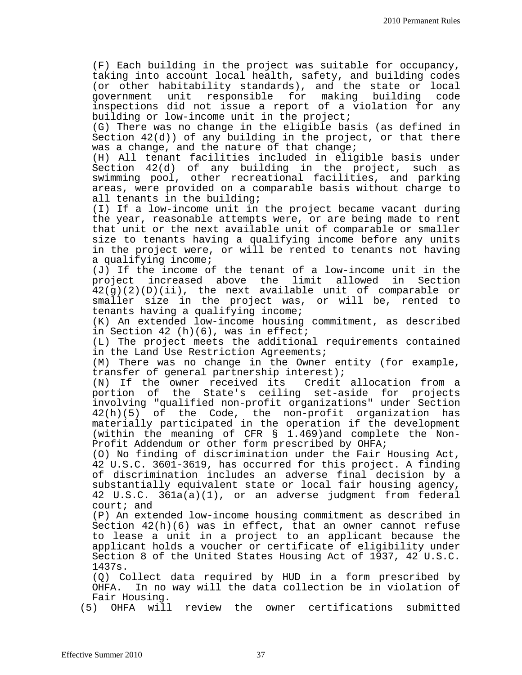(F) Each building in the project was suitable for occupancy, taking into account local health, safety, and building codes (or other habitability standards), and the state or local<br>government unit responsible for making building code unit responsible for inspections did not issue a report of a violation for any building or low-income unit in the project;

(G) There was no change in the eligible basis (as defined in Section 42(d)) of any building in the project, or that there was a change, and the nature of that change;

(H) All tenant facilities included in eligible basis under Section 42(d) of any building in the project, such as swimming pool, other recreational facilities, and parking areas, were provided on a comparable basis without charge to all tenants in the building;

(I) If a low-income unit in the project became vacant during the year, reasonable attempts were, or are being made to rent that unit or the next available unit of comparable or smaller size to tenants having a qualifying income before any units in the project were, or will be rented to tenants not having a qualifying income;

(J) If the income of the tenant of a low-income unit in the project increased above the limit allowed 42(g)(2)(D)(ii), the next available unit of comparable or smaller size in the project was, or will be, rented to tenants having a qualifying income;

(K) An extended low-income housing commitment, as described in Section 42 (h)(6), was in effect;

(L) The project meets the additional requirements contained in the Land Use Restriction Agreements;

(M) There was no change in the Owner entity (for example,

transfer of general partnership interest);<br>(N) If the owner received its Credit allocation from a  $(N)$  If the owner received its portion of the State's ceiling set-aside for projects involving "qualified non-profit organizations" under Section 42(h)(5) of the Code, the non-profit organization has materially participated in the operation if the development (within the meaning of CFR § 1.469)and complete the Non- Profit Addendum or other form prescribed by OHFA;

(O) No finding of discrimination under the Fair Housing Act, 42 U.S.C. 3601-3619, has occurred for this project. A finding of discrimination includes an adverse final decision by a substantially equivalent state or local fair housing agency, 42 U.S.C. 361a(a)(1), or an adverse judgment from federal court; and

(P) An extended low-income housing commitment as described in Section 42(h)(6) was in effect, that an owner cannot refuse to lease a unit in a project to an applicant because the applicant holds a voucher or certificate of eligibility under Section 8 of the United States Housing Act of 1937, 42 U.S.C. 1437s.

(Q) Collect data required by HUD in a form prescribed by OHFA. In no way will the data collection be in violation of Fair Housing.

(5) OHFA will review the owner certifications submitted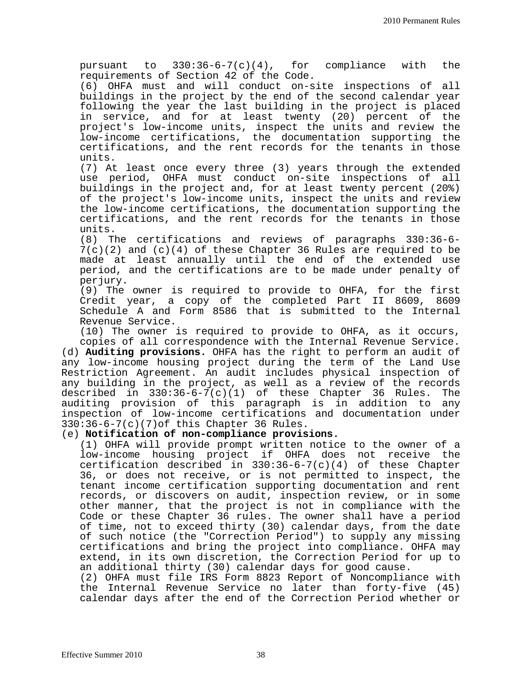pursuant to 330:36-6-7(c)(4), for compliance with the requirements of Section 42 of the Code.

(6) OHFA must and will conduct on-site inspections of all buildings in the project by the end of the second calendar year following the year the last building in the project is placed in service, and for at least twenty (20) percent of the project's low-income units, inspect the units and review the low-income certifications, the documentation supporting the certifications, and the rent records for the tenants in those units.

(7) At least once every three (3) years through the extended use period, OHFA must conduct on-site inspections of all buildings in the project and, for at least twenty percent (20%) of the project's low-income units, inspect the units and review the low-income certifications, the documentation supporting the certifications, and the rent records for the tenants in those units.

(8) The certifications and reviews of paragraphs 330:36-6-  $7(c)(2)$  and  $(c)(4)$  of these Chapter 36 Rules are required to be made at least annually until the end of the extended use period, and the certifications are to be made under penalty of perjury.

(9) The owner is required to provide to OHFA, for the first Credit year, a copy of the completed Part II 8609, 8609 Schedule A and Form 8586 that is submitted to the Internal Revenue Service.

(10) The owner is required to provide to OHFA, as it occurs, copies of all correspondence with the Internal Revenue Service. (d) **Auditing provisions.** OHFA has the right to perform an audit of any low-income housing project during the term of the Land Use Restriction Agreement. An audit includes physical inspection of any building in the project, as well as a review of the records described in  $330:36-6-7(c)(1)$  of these Chapter 36 Rules. The auditing provision of this paragraph is in addition to any inspection of low-income certifications and documentation under 330:36-6-7(c)(7)of this Chapter 36 Rules.

#### (e) **Notification of non-compliance provisions.**

(1) OHFA will provide prompt written notice to the owner of a low-income housing project if OHFA does not receive the certification described in 330:36-6-7(c)(4) of these Chapter 36, or does not receive, or is not permitted to inspect, the tenant income certification supporting documentation and rent records, or discovers on audit, inspection review, or in some other manner, that the project is not in compliance with the Code or these Chapter 36 rules. The owner shall have a period of time, not to exceed thirty (30) calendar days, from the date of such notice (the "Correction Period") to supply any missing certifications and bring the project into compliance. OHFA may extend, in its own discretion, the Correction Period for up to an additional thirty (30) calendar days for good cause. (2) OHFA must file IRS Form 8823 Report of Noncompliance with

the Internal Revenue Service no later than forty-five (45) calendar days after the end of the Correction Period whether or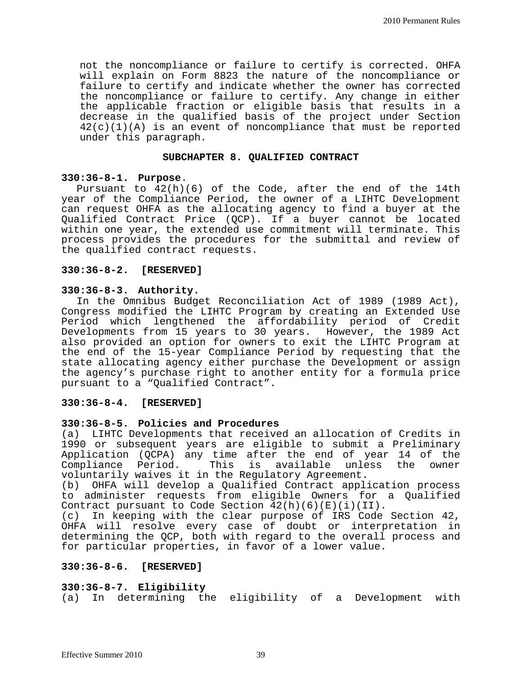not the noncompliance or failure to certify is corrected. OHFA will explain on Form 8823 the nature of the noncompliance or failure to certify and indicate whether the owner has corrected the noncompliance or failure to certify. Any change in either the applicable fraction or eligible basis that results in a decrease in the qualified basis of the project under Section  $42(c)(1)(A)$  is an event of noncompliance that must be reported under this paragraph.

#### **SUBCHAPTER 8. QUALIFIED CONTRACT**

#### **330:36-8-1. Purpose**.

Pursuant to 42(h)(6) of the Code, after the end of the 14th year of the Compliance Period, the owner of a LIHTC Development can request OHFA as the allocating agency to find a buyer at the Qualified Contract Price (QCP). If a buyer cannot be located within one year, the extended use commitment will terminate. This process provides the procedures for the submittal and review of the qualified contract requests.

#### **330:36-8-2. [RESERVED]**

#### **330:36-8-3. Authority.**

In the Omnibus Budget Reconciliation Act of 1989 (1989 Act), Congress modified the LIHTC Program by creating an Extended Use Period which lengthened the affordability period of Credit Developments from 15 years to 30 years. However, the 1989 Act also provided an option for owners to exit the LIHTC Program at the end of the 15-year Compliance Period by requesting that the state allocating agency either purchase the Development or assign the agency's purchase right to another entity for a formula price pursuant to a "Qualified Contract".

#### **330:36-8-4. [RESERVED]**

#### **330:36-8-5. Policies and Procedures**

(a) LIHTC Developments that received an allocation of Credits in 1990 or subsequent years are eligible to submit a Preliminary Application (QCPA) any time after the end of year 14 of the<br>Compliance Period. This is available unless the owner This is available unless voluntarily waives it in the Regulatory Agreement.

(b) OHFA will develop a Qualified Contract application process to administer requests from eligible Owners for a Qualified Contract pursuant to Code Section  $42(h)(6)(E)(i)(II)$ .<br>(c) In keeping with the clear purpose of IRS Code

In keeping with the clear purpose of IRS Code Section 42, OHFA will resolve every case of doubt or interpretation in determining the QCP, both with regard to the overall process and for particular properties, in favor of a lower value.

#### **330:36-8-6. [RESERVED]**

### **330:36-8-7. Eligibility**

(a) In determining the eligibility of a Development with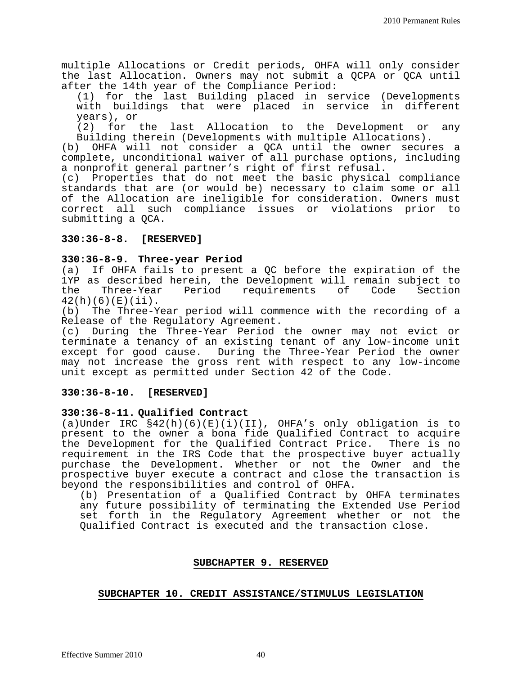multiple Allocations or Credit periods, OHFA will only consider the last Allocation. Owners may not submit a QCPA or QCA until after the 14th year of the Compliance Period:

(1) for the last Building placed in service (Developments with buildings that were placed in service in different years), or

(2) for the last Allocation to the Development or any Building therein (Developments with multiple Allocations).

(b) OHFA will not consider a QCA until the owner secures a complete, unconditional waiver of all purchase options, including a nonprofit general partner's right of first refusal.

(c) Properties that do not meet the basic physical compliance standards that are (or would be) necessary to claim some or all of the Allocation are ineligible for consideration. Owners must correct all such compliance issues or violations prior to submitting a QCA.

#### **330:36-8-8. [RESERVED]**

#### **330:36-8-9. Three-year Period**

(a) If OHFA fails to present a QC before the expiration of the 1YP as described herein, the Development will remain subject to<br>the Three-Year Period requirements of Code Section requirements  $42(h)(6)(E)(ii)$ .<br>(b) The Three-Y

The Three-Year period will commence with the recording of a Release of the Regulatory Agreement.

(c) During the Three-Year Period the owner may not evict or terminate a tenancy of an existing tenant of any low-income unit except for good cause. During the Three-Year Period the owner may not increase the gross rent with respect to any low-income unit except as permitted under Section 42 of the Code.

#### **330:36-8-10. [RESERVED]**

#### **330:36-8-11. Qualified Contract**

(a)Under IRC §42(h)(6)(E)(i)(II), OHFA's only obligation is to present to the owner a bona fide Qualified Contract to acquire the Development for the Qualified Contract Price. There is no requirement in the IRS Code that the prospective buyer actually purchase the Development. Whether or not the Owner and the prospective buyer execute a contract and close the transaction is beyond the responsibilities and control of OHFA.

(b) Presentation of a Qualified Contract by OHFA terminates any future possibility of terminating the Extended Use Period set forth in the Regulatory Agreement whether or not the Qualified Contract is executed and the transaction close.

#### **SUBCHAPTER 9. RESERVED**

#### **SUBCHAPTER 10. CREDIT ASSISTANCE/STIMULUS LEGISLATION**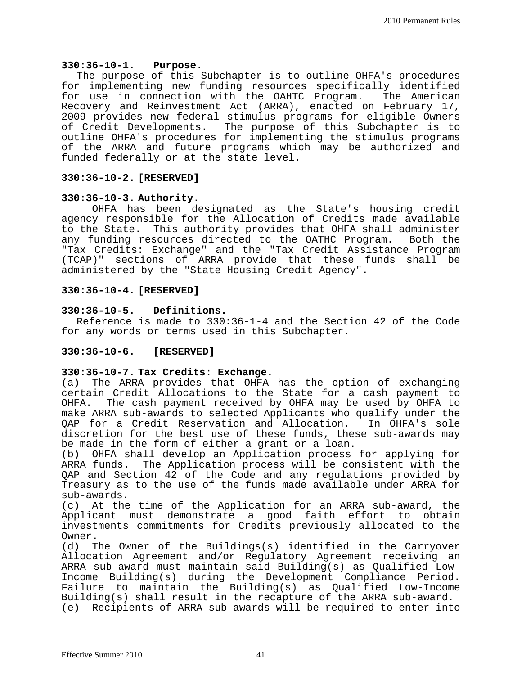#### **330:36-10-1. Purpose.**

The purpose of this Subchapter is to outline OHFA's procedures for implementing new funding resources specifically identified for use in connection with the OAHTC Program. The American Recovery and Reinvestment Act (ARRA), enacted on February 17, 2009 provides new federal stimulus programs for eligible Owners of Credit Developments. The purpose of this Subchapter is to outline OHFA's procedures for implementing the stimulus programs of the ARRA and future programs which may be authorized and funded federally or at the state level.

#### **330:36-10-2. [RESERVED]**

#### **330:36-10-3. Authority.**

OHFA has been designated as the State's housing credit agency responsible for the Allocation of Credits made available to the State. This authority provides that OHFA shall administer<br>any funding resources directed to the OATHC Program. Both the any funding resources directed to the OATHC Program. "Tax Credits: Exchange" and the "Tax Credit Assistance Program (TCAP)" sections of ARRA provide that these funds shall be administered by the "State Housing Credit Agency".

#### **330:36-10-4. [RESERVED]**

#### **330:36-10-5. Definitions.**

Reference is made to 330:36-1-4 and the Section 42 of the Code for any words or terms used in this Subchapter.

#### **330:36-10-6. [RESERVED]**

#### **330:36-10-7. Tax Credits: Exchange.**

(a) The ARRA provides that OHFA has the option of exchanging certain Credit Allocations to the State for a cash payment to<br>OHFA. The cash payment received by OHFA may be used by OHFA to The cash payment received by OHFA may be used by OHFA to make ARRA sub-awards to selected Applicants who qualify under the QAP for a Credit Reservation and Allocation. discretion for the best use of these funds, these sub-awards may be made in the form of either a grant or a loan.

(b) OHFA shall develop an Application process for applying for ARRA funds. The Application process will be consistent with the QAP and Section 42 of the Code and any regulations provided by Treasury as to the use of the funds made available under ARRA for sub-awards.

(c) At the time of the Application for an ARRA sub-award, the Applicant must demonstrate a good faith effort to obtain investments commitments for Credits previously allocated to the Owner.<br>(d) T

The Owner of the Buildings(s) identified in the Carryover Allocation Agreement and/or Regulatory Agreement receiving an ARRA sub-award must maintain said Building(s) as Qualified Low-Income Building(s) during the Development Compliance Period. Failure to maintain the Building(s) as Qualified Low-Income Building(s) shall result in the recapture of the ARRA sub-award. (e) Recipients of ARRA sub-awards will be required to enter into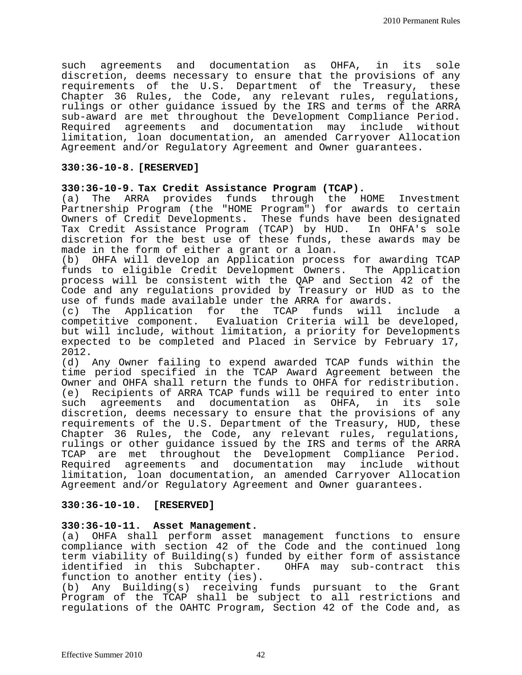such agreements and documentation as OHFA, in its sole discretion, deems necessary to ensure that the provisions of any requirements of the U.S. Department of the Treasury, these Chapter 36 Rules, the Code, any relevant rules, regulations, rulings or other guidance issued by the IRS and terms of the ARRA sub-award are met throughout the Development Compliance Period.<br>Required agreements and documentation may include without Required agreements and documentation may limitation, loan documentation, an amended Carryover Allocation Agreement and/or Regulatory Agreement and Owner guarantees.

#### **330:36-10-8. [RESERVED]**

## **330:36-10-9. Tax Credit Assistance Program (TCAP).**

The ARRA provides funds through the HOME Investment Partnership Program (the "HOME Program") for awards to certain Owners of Credit Developments. These funds have been designated Tax Credit Assistance Program (TCAP) by HUD. In OHFA's sole discretion for the best use of these funds, these awards may be made in the form of either a grant or a loan.

(b) OHFA will develop an Application process for awarding TCAP funds to eligible Credit Development Owners. The Application process will be consistent with the QAP and Section 42 of the Code and any regulations provided by Treasury or HUD as to the use of funds made available under the ARRA for awards.<br>(c) The Application for the TCAP funds will include

Application for the TCAP funds will include a competitive component. Evaluation Criteria will be developed, but will include, without limitation, a priority for Developments expected to be completed and Placed in Service by February 17, 2012.

(d) Any Owner failing to expend awarded TCAP funds within the time period specified in the TCAP Award Agreement between the Owner and OHFA shall return the funds to OHFA for redistribution. (e) Recipients of ARRA TCAP funds will be required to enter into<br>such agreements and documentation as OHFA, in its sole such agreements and documentation as OHFA, discretion, deems necessary to ensure that the provisions of any requirements of the U.S. Department of the Treasury, HUD, these Chapter 36 Rules, the Code, any relevant rules, regulations, rulings or other guidance issued by the IRS and terms of the ARRA TCAP are met throughout the Development Compliance Period.<br>Required agreements and documentation may include without Required agreements and documentation may include limitation, loan documentation, an amended Carryover Allocation Agreement and/or Regulatory Agreement and Owner guarantees.

#### **330:36-10-10. [RESERVED]**

#### **330:36-10-11. Asset Management.**

(a) OHFA shall perform asset management functions to ensure compliance with section 42 of the Code and the continued long term viability of Building(s) funded by either form of assistance identified in this Subchapter. function to another entity (ies).

(b) Any Building(s) receiving funds pursuant to the Grant Program of the TCAP shall be subject to all restrictions and regulations of the OAHTC Program, Section 42 of the Code and, as